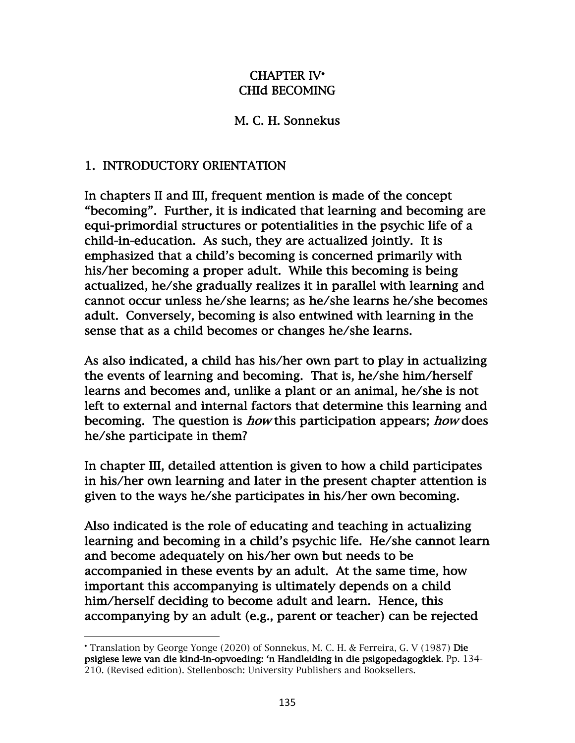## CHAPTER IV• CHId BECOMING

## M. C. H. Sonnekus

## 1. INTRODUCTORY ORIENTATION

In chapters II and III, frequent mention is made of the concept "becoming". Further, it is indicated that learning and becoming are equi-primordial structures or potentialities in the psychic life of a child-in-education. As such, they are actualized jointly. It is emphasized that a child's becoming is concerned primarily with his/her becoming a proper adult. While this becoming is being actualized, he/she gradually realizes it in parallel with learning and cannot occur unless he/she learns; as he/she learns he/she becomes adult. Conversely, becoming is also entwined with learning in the sense that as a child becomes or changes he/she learns.

As also indicated, a child has his/her own part to play in actualizing the events of learning and becoming. That is, he/she him/herself learns and becomes and, unlike a plant or an animal, he/she is not left to external and internal factors that determine this learning and becoming. The question is how this participation appears; how does he/she participate in them?

In chapter III, detailed attention is given to how a child participates in his/her own learning and later in the present chapter attention is given to the ways he/she participates in his/her own becoming.

Also indicated is the role of educating and teaching in actualizing learning and becoming in a child's psychic life. He/she cannot learn and become adequately on his/her own but needs to be accompanied in these events by an adult. At the same time, how important this accompanying is ultimately depends on a child him/herself deciding to become adult and learn. Hence, this accompanying by an adult (e.g., parent or teacher) can be rejected

<sup>•</sup> Translation by George Yonge (2020) of Sonnekus, M. C. H. & Ferreira, G. V (1987) Die psigiese lewe van die kind-in-opvoeding: 'n Handleiding in die psigopedagogkiek. Pp. 134- 210. (Revised edition). Stellenbosch: University Publishers and Booksellers.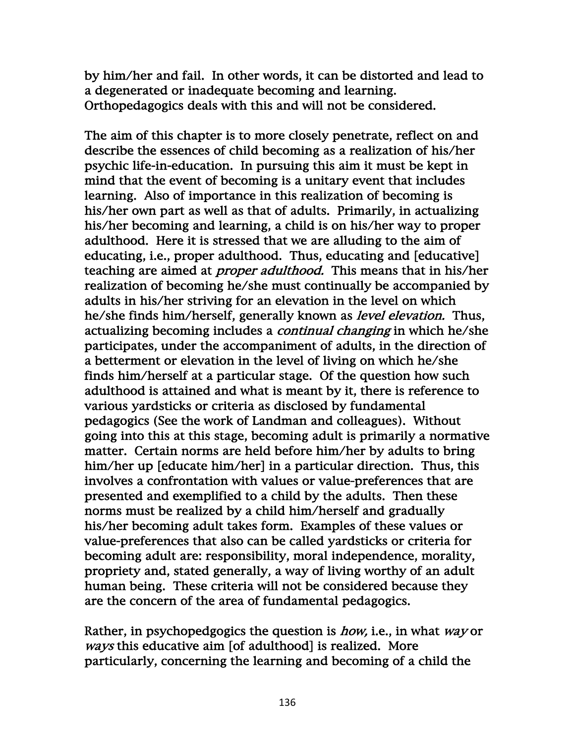by him/her and fail. In other words, it can be distorted and lead to a degenerated or inadequate becoming and learning. Orthopedagogics deals with this and will not be considered.

The aim of this chapter is to more closely penetrate, reflect on and describe the essences of child becoming as a realization of his/her psychic life-in-education. In pursuing this aim it must be kept in mind that the event of becoming is a unitary event that includes learning. Also of importance in this realization of becoming is his/her own part as well as that of adults. Primarily, in actualizing his/her becoming and learning, a child is on his/her way to proper adulthood. Here it is stressed that we are alluding to the aim of educating, i.e., proper adulthood. Thus, educating and [educative] teaching are aimed at *proper adulthood*. This means that in his/her realization of becoming he/she must continually be accompanied by adults in his/her striving for an elevation in the level on which he/she finds him/herself, generally known as *level elevation*. Thus, actualizing becoming includes a *continual changing* in which he/she participates, under the accompaniment of adults, in the direction of a betterment or elevation in the level of living on which he/she finds him/herself at a particular stage. Of the question how such adulthood is attained and what is meant by it, there is reference to various yardsticks or criteria as disclosed by fundamental pedagogics (See the work of Landman and colleagues). Without going into this at this stage, becoming adult is primarily a normative matter. Certain norms are held before him/her by adults to bring him/her up [educate him/her] in a particular direction. Thus, this involves a confrontation with values or value-preferences that are presented and exemplified to a child by the adults. Then these norms must be realized by a child him/herself and gradually his/her becoming adult takes form. Examples of these values or value-preferences that also can be called yardsticks or criteria for becoming adult are: responsibility, moral independence, morality, propriety and, stated generally, a way of living worthy of an adult human being. These criteria will not be considered because they are the concern of the area of fundamental pedagogics.

Rather, in psychopedgogics the question is *how*, i.e., in what way or ways this educative aim [of adulthood] is realized. More particularly, concerning the learning and becoming of a child the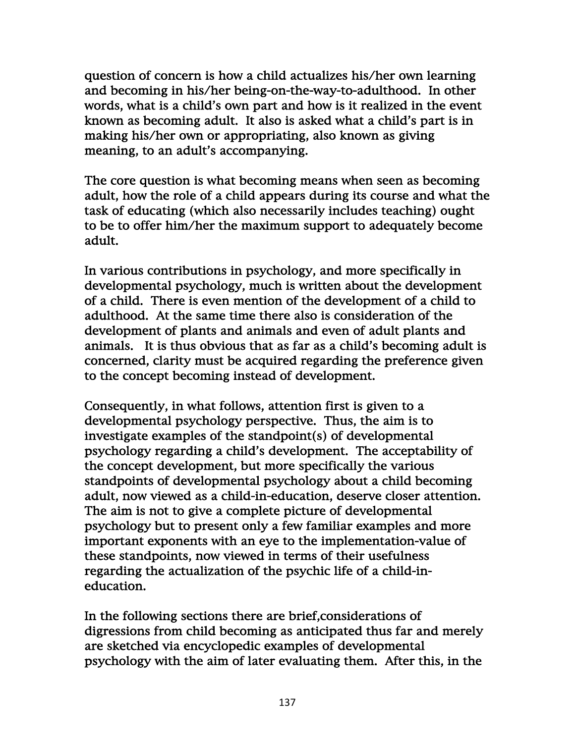question of concern is how a child actualizes his/her own learning and becoming in his/her being-on-the-way-to-adulthood. In other words, what is a child's own part and how is it realized in the event known as becoming adult. It also is asked what a child's part is in making his/her own or appropriating, also known as giving meaning, to an adult's accompanying.

The core question is what becoming means when seen as becoming adult, how the role of a child appears during its course and what the task of educating (which also necessarily includes teaching) ought to be to offer him/her the maximum support to adequately become adult.

In various contributions in psychology, and more specifically in developmental psychology, much is written about the development of a child. There is even mention of the development of a child to adulthood. At the same time there also is consideration of the development of plants and animals and even of adult plants and animals. It is thus obvious that as far as a child's becoming adult is concerned, clarity must be acquired regarding the preference given to the concept becoming instead of development.

Consequently, in what follows, attention first is given to a developmental psychology perspective. Thus, the aim is to investigate examples of the standpoint(s) of developmental psychology regarding a child's development. The acceptability of the concept development, but more specifically the various standpoints of developmental psychology about a child becoming adult, now viewed as a child-in-education, deserve closer attention. The aim is not to give a complete picture of developmental psychology but to present only a few familiar examples and more important exponents with an eye to the implementation-value of these standpoints, now viewed in terms of their usefulness regarding the actualization of the psychic life of a child-ineducation.

In the following sections there are brief,considerations of digressions from child becoming as anticipated thus far and merely are sketched via encyclopedic examples of developmental psychology with the aim of later evaluating them. After this, in the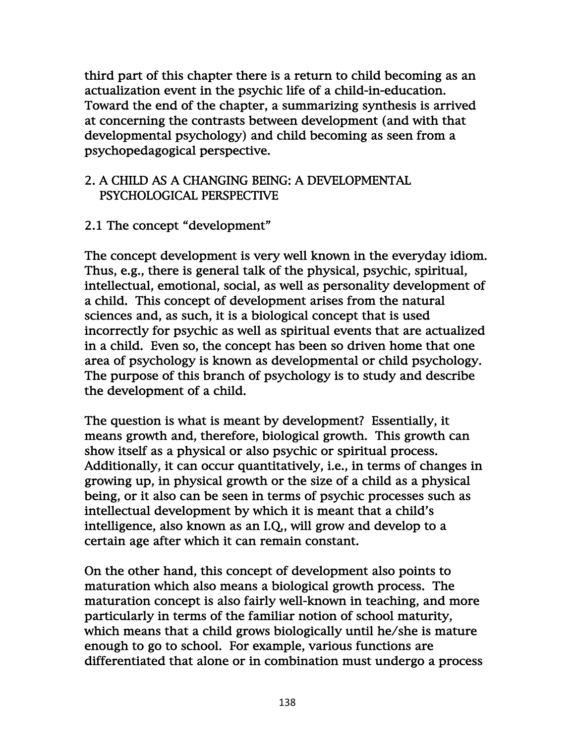third part of this chapter there is a return to child becoming as an actualization event in the psychic life of a child-in-education. Toward the end of the chapter, a summarizing synthesis is arrived at concerning the contrasts between development (and with that developmental psychology) and child becoming as seen from a psychopedagogical perspective.

### 2. A CHILD AS A CHANGING BEING: A DEVELOPMENTAL PSYCHOLOGICAL PERSPECTIVE

# 2.1 The concept "development"

The concept development is very well known in the everyday idiom. Thus, e.g., there is general talk of the physical, psychic, spiritual, intellectual, emotional, social, as well as personality development of a child. This concept of development arises from the natural sciences and, as such, it is a biological concept that is used incorrectly for psychic as well as spiritual events that are actualized in a child. Even so, the concept has been so driven home that one area of psychology is known as developmental or child psychology. The purpose of this branch of psychology is to study and describe the development of a child.

The question is what is meant by development? Essentially, it means growth and, therefore, biological growth. This growth can show itself as a physical or also psychic or spiritual process. Additionally, it can occur quantitatively, i.e., in terms of changes in growing up, in physical growth or the size of a child as a physical being, or it also can be seen in terms of psychic processes such as intellectual development by which it is meant that a child's intelligence, also known as an I.Q., will grow and develop to a certain age after which it can remain constant.

On the other hand, this concept of development also points to maturation which also means a biological growth process. The maturation concept is also fairly well-known in teaching, and more particularly in terms of the familiar notion of school maturity, which means that a child grows biologically until he/she is mature enough to go to school. For example, various functions are differentiated that alone or in combination must undergo a process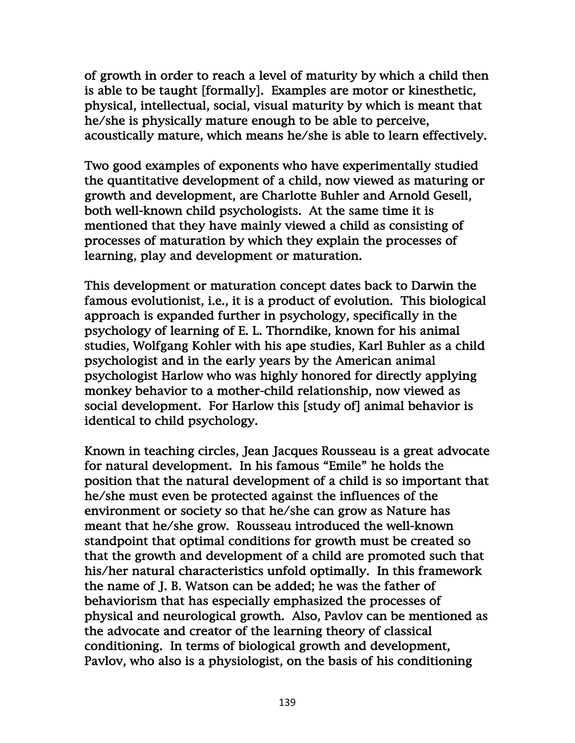of growth in order to reach a level of maturity by which a child then is able to be taught [formally]. Examples are motor or kinesthetic, physical, intellectual, social, visual maturity by which is meant that he/she is physically mature enough to be able to perceive, acoustically mature, which means he/she is able to learn effectively.

Two good examples of exponents who have experimentally studied the quantitative development of a child, now viewed as maturing or growth and development, are Charlotte Buhler and Arnold Gesell, both well-known child psychologists. At the same time it is mentioned that they have mainly viewed a child as consisting of processes of maturation by which they explain the processes of learning, play and development or maturation.

This development or maturation concept dates back to Darwin the famous evolutionist, i.e., it is a product of evolution. This biological approach is expanded further in psychology, specifically in the psychology of learning of E. L. Thorndike, known for his animal studies, Wolfgang Kohler with his ape studies, Karl Buhler as a child psychologist and in the early years by the American animal psychologist Harlow who was highly honored for directly applying monkey behavior to a mother-child relationship, now viewed as social development. For Harlow this [study of] animal behavior is identical to child psychology.

Known in teaching circles, Jean Jacques Rousseau is a great advocate for natural development. In his famous "Emile" he holds the position that the natural development of a child is so important that he/she must even be protected against the influences of the environment or society so that he/she can grow as Nature has meant that he/she grow. Rousseau introduced the well-known standpoint that optimal conditions for growth must be created so that the growth and development of a child are promoted such that his/her natural characteristics unfold optimally. In this framework the name of J. B. Watson can be added; he was the father of behaviorism that has especially emphasized the processes of physical and neurological growth. Also, Pavlov can be mentioned as the advocate and creator of the learning theory of classical conditioning. In terms of biological growth and development, Pavlov, who also is a physiologist, on the basis of his conditioning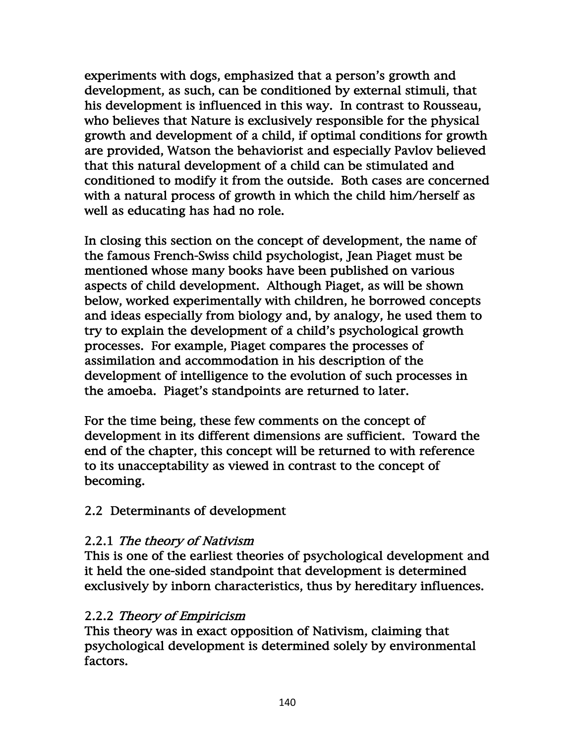experiments with dogs, emphasized that a person's growth and development, as such, can be conditioned by external stimuli, that his development is influenced in this way. In contrast to Rousseau, who believes that Nature is exclusively responsible for the physical growth and development of a child, if optimal conditions for growth are provided, Watson the behaviorist and especially Pavlov believed that this natural development of a child can be stimulated and conditioned to modify it from the outside. Both cases are concerned with a natural process of growth in which the child him/herself as well as educating has had no role.

In closing this section on the concept of development, the name of the famous French-Swiss child psychologist, Jean Piaget must be mentioned whose many books have been published on various aspects of child development. Although Piaget, as will be shown below, worked experimentally with children, he borrowed concepts and ideas especially from biology and, by analogy, he used them to try to explain the development of a child's psychological growth processes. For example, Piaget compares the processes of assimilation and accommodation in his description of the development of intelligence to the evolution of such processes in the amoeba. Piaget's standpoints are returned to later.

For the time being, these few comments on the concept of development in its different dimensions are sufficient. Toward the end of the chapter, this concept will be returned to with reference to its unacceptability as viewed in contrast to the concept of becoming.

## 2.2 Determinants of development

## 2.2.1 The theory of Nativism

This is one of the earliest theories of psychological development and it held the one-sided standpoint that development is determined exclusively by inborn characteristics, thus by hereditary influences.

## 2.2.2 Theory of Empiricism

This theory was in exact opposition of Nativism, claiming that psychological development is determined solely by environmental factors.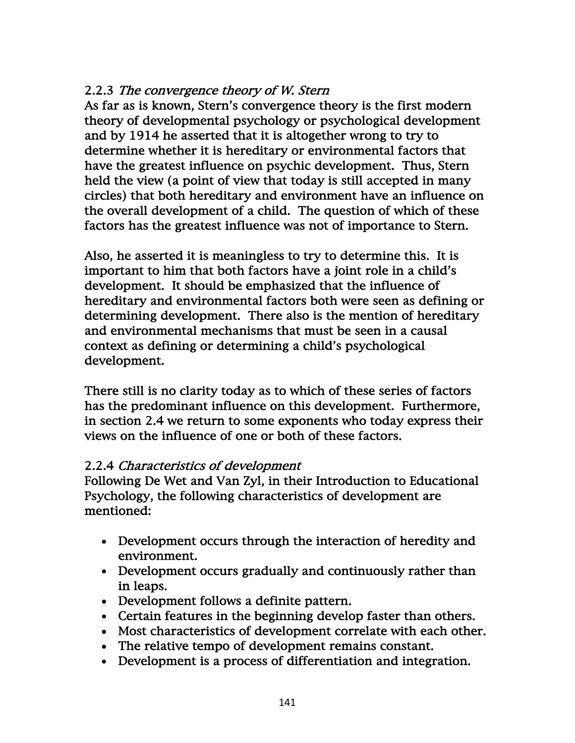## 2.2.3 The convergence theory of W. Stern

As far as is known, Stern's convergence theory is the first modern theory of developmental psychology or psychological development and by 1914 he asserted that it is altogether wrong to try to determine whether it is hereditary or environmental factors that have the greatest influence on psychic development. Thus, Stern held the view (a point of view that today is still accepted in many circles) that both hereditary and environment have an influence on the overall development of a child. The question of which of these factors has the greatest influence was not of importance to Stern.

Also, he asserted it is meaningless to try to determine this. It is important to him that both factors have a joint role in a child's development. It should be emphasized that the influence of hereditary and environmental factors both were seen as defining or determining development. There also is the mention of hereditary and environmental mechanisms that must be seen in a causal context as defining or determining a child's psychological development.

There still is no clarity today as to which of these series of factors has the predominant influence on this development. Furthermore, in section 2.4 we return to some exponents who today express their views on the influence of one or both of these factors.

### 2.2.4 Characteristics of development

Following De Wet and Van Zyl, in their Introduction to Educational Psychology, the following characteristics of development are mentioned:

- Development occurs through the interaction of heredity and environment.
- Development occurs gradually and continuously rather than in leaps.
- Development follows a definite pattern.
- Certain features in the beginning develop faster than others.
- Most characteristics of development correlate with each other.
- The relative tempo of development remains constant.
- Development is a process of differentiation and integration.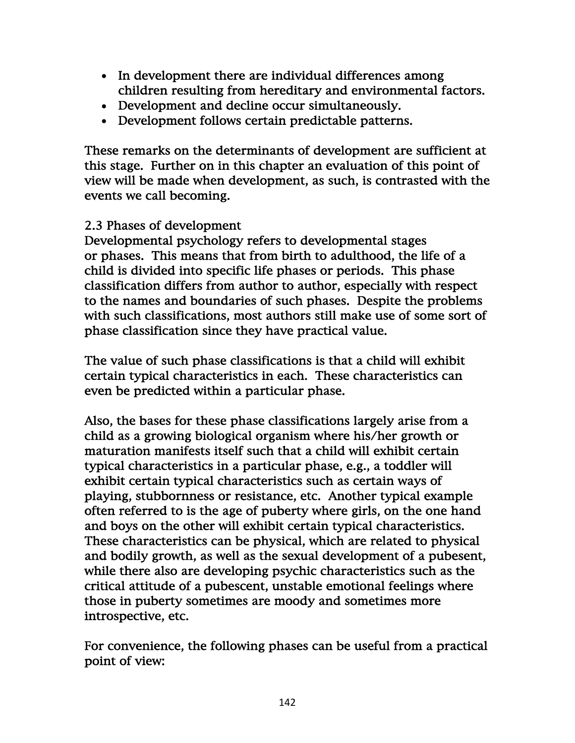- In development there are individual differences among children resulting from hereditary and environmental factors.
- Development and decline occur simultaneously.
- Development follows certain predictable patterns.

These remarks on the determinants of development are sufficient at this stage. Further on in this chapter an evaluation of this point of view will be made when development, as such, is contrasted with the events we call becoming.

## 2.3 Phases of development

Developmental psychology refers to developmental stages or phases. This means that from birth to adulthood, the life of a child is divided into specific life phases or periods. This phase classification differs from author to author, especially with respect to the names and boundaries of such phases. Despite the problems with such classifications, most authors still make use of some sort of phase classification since they have practical value.

The value of such phase classifications is that a child will exhibit certain typical characteristics in each. These characteristics can even be predicted within a particular phase.

Also, the bases for these phase classifications largely arise from a child as a growing biological organism where his/her growth or maturation manifests itself such that a child will exhibit certain typical characteristics in a particular phase, e.g., a toddler will exhibit certain typical characteristics such as certain ways of playing, stubbornness or resistance, etc. Another typical example often referred to is the age of puberty where girls, on the one hand and boys on the other will exhibit certain typical characteristics. These characteristics can be physical, which are related to physical and bodily growth, as well as the sexual development of a pubesent, while there also are developing psychic characteristics such as the critical attitude of a pubescent, unstable emotional feelings where those in puberty sometimes are moody and sometimes more introspective, etc.

For convenience, the following phases can be useful from a practical point of view: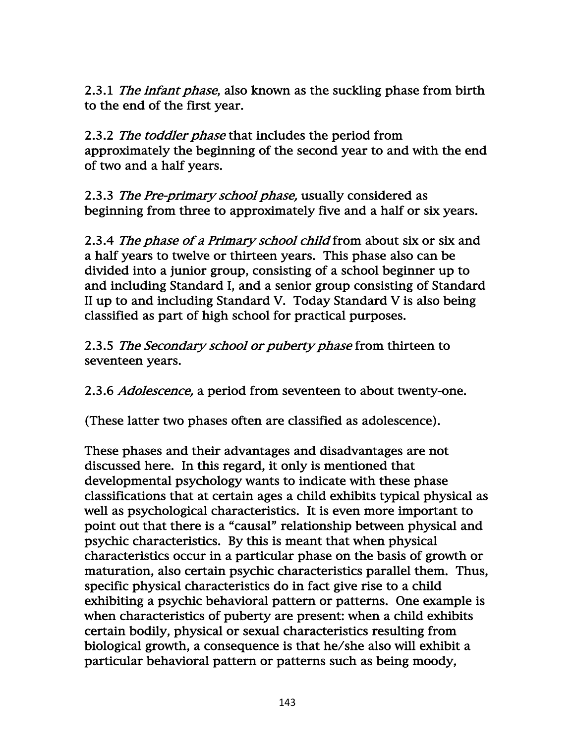2.3.1 *The infant phase*, also known as the suckling phase from birth to the end of the first year.

2.3.2 The toddler phase that includes the period from approximately the beginning of the second year to and with the end of two and a half years.

2.3.3 The Pre-primary school phase, usually considered as beginning from three to approximately five and a half or six years.

2.3.4 *The phase of a Primary school child* from about six or six and a half years to twelve or thirteen years. This phase also can be divided into a junior group, consisting of a school beginner up to and including Standard I, and a senior group consisting of Standard II up to and including Standard V. Today Standard V is also being classified as part of high school for practical purposes.

2.3.5 The Secondary school or puberty phase from thirteen to seventeen years.

2.3.6 *Adolescence*, a period from seventeen to about twenty-one.

(These latter two phases often are classified as adolescence).

These phases and their advantages and disadvantages are not discussed here. In this regard, it only is mentioned that developmental psychology wants to indicate with these phase classifications that at certain ages a child exhibits typical physical as well as psychological characteristics. It is even more important to point out that there is a "causal" relationship between physical and psychic characteristics. By this is meant that when physical characteristics occur in a particular phase on the basis of growth or maturation, also certain psychic characteristics parallel them. Thus, specific physical characteristics do in fact give rise to a child exhibiting a psychic behavioral pattern or patterns. One example is when characteristics of puberty are present: when a child exhibits certain bodily, physical or sexual characteristics resulting from biological growth, a consequence is that he/she also will exhibit a particular behavioral pattern or patterns such as being moody,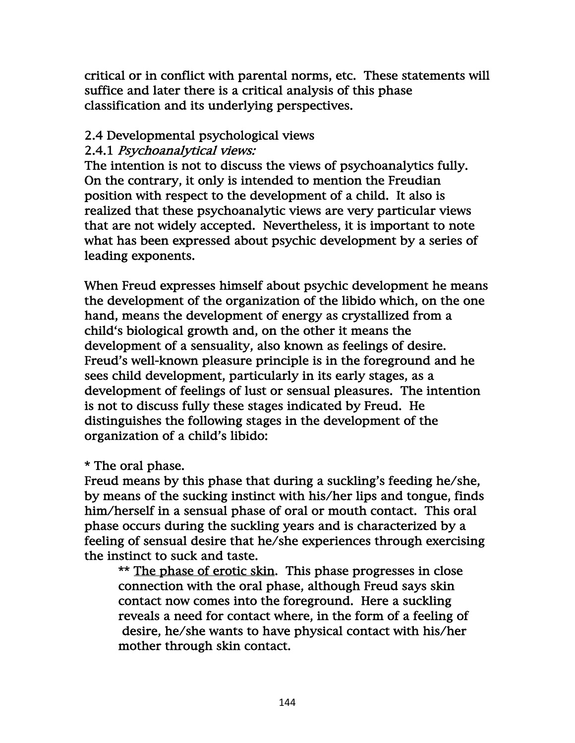critical or in conflict with parental norms, etc. These statements will suffice and later there is a critical analysis of this phase classification and its underlying perspectives.

## 2.4 Developmental psychological views

### 2.4.1 Psychoanalytical views:

The intention is not to discuss the views of psychoanalytics fully. On the contrary, it only is intended to mention the Freudian position with respect to the development of a child. It also is realized that these psychoanalytic views are very particular views that are not widely accepted. Nevertheless, it is important to note what has been expressed about psychic development by a series of leading exponents.

When Freud expresses himself about psychic development he means the development of the organization of the libido which, on the one hand, means the development of energy as crystallized from a child's biological growth and, on the other it means the development of a sensuality, also known as feelings of desire. Freud's well-known pleasure principle is in the foreground and he sees child development, particularly in its early stages, as a development of feelings of lust or sensual pleasures. The intention is not to discuss fully these stages indicated by Freud. He distinguishes the following stages in the development of the organization of a child's libido:

\* The oral phase.

Freud means by this phase that during a suckling's feeding he/she, by means of the sucking instinct with his/her lips and tongue, finds him/herself in a sensual phase of oral or mouth contact. This oral phase occurs during the suckling years and is characterized by a feeling of sensual desire that he/she experiences through exercising the instinct to suck and taste.

 \*\* The phase of erotic skin. This phase progresses in close connection with the oral phase, although Freud says skin contact now comes into the foreground. Here a suckling reveals a need for contact where, in the form of a feeling of desire, he/she wants to have physical contact with his/her mother through skin contact.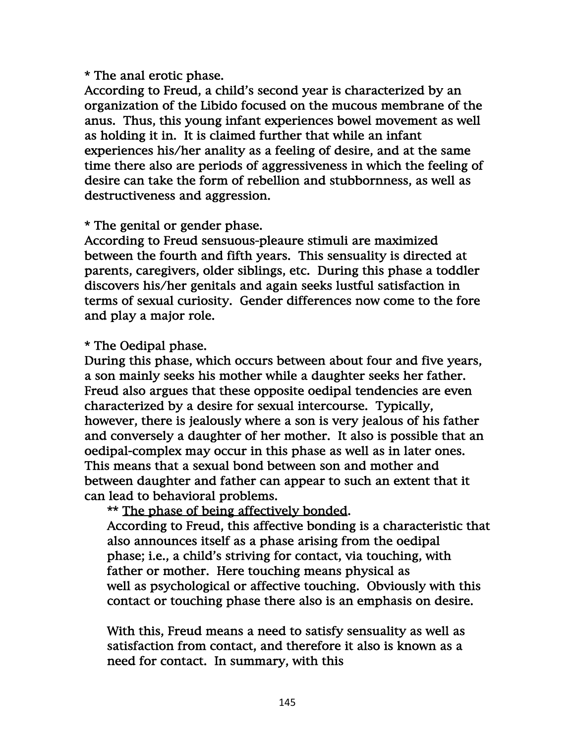#### \* The anal erotic phase.

According to Freud, a child's second year is characterized by an organization of the Libido focused on the mucous membrane of the anus. Thus, this young infant experiences bowel movement as well as holding it in. It is claimed further that while an infant experiences his/her anality as a feeling of desire, and at the same time there also are periods of aggressiveness in which the feeling of desire can take the form of rebellion and stubbornness, as well as destructiveness and aggression.

### \* The genital or gender phase.

According to Freud sensuous-pleaure stimuli are maximized between the fourth and fifth years. This sensuality is directed at parents, caregivers, older siblings, etc. During this phase a toddler discovers his/her genitals and again seeks lustful satisfaction in terms of sexual curiosity. Gender differences now come to the fore and play a major role.

\* The Oedipal phase.

During this phase, which occurs between about four and five years, a son mainly seeks his mother while a daughter seeks her father. Freud also argues that these opposite oedipal tendencies are even characterized by a desire for sexual intercourse. Typically, however, there is jealously where a son is very jealous of his father and conversely a daughter of her mother. It also is possible that an oedipal-complex may occur in this phase as well as in later ones. This means that a sexual bond between son and mother and between daughter and father can appear to such an extent that it can lead to behavioral problems.

\*\* The phase of being affectively bonded.

 According to Freud, this affective bonding is a characteristic that also announces itself as a phase arising from the oedipal phase; i.e., a child's striving for contact, via touching, with father or mother. Here touching means physical as well as psychological or affective touching. Obviously with this contact or touching phase there also is an emphasis on desire.

 With this, Freud means a need to satisfy sensuality as well as satisfaction from contact, and therefore it also is known as a need for contact. In summary, with this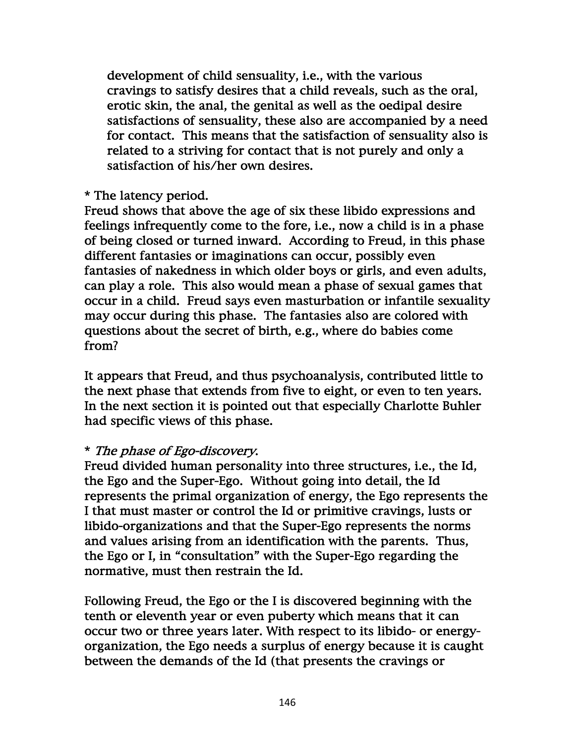development of child sensuality, i.e., with the various cravings to satisfy desires that a child reveals, such as the oral, erotic skin, the anal, the genital as well as the oedipal desire satisfactions of sensuality, these also are accompanied by a need for contact. This means that the satisfaction of sensuality also is related to a striving for contact that is not purely and only a satisfaction of his/her own desires.

## \* The latency period.

Freud shows that above the age of six these libido expressions and feelings infrequently come to the fore, i.e., now a child is in a phase of being closed or turned inward. According to Freud, in this phase different fantasies or imaginations can occur, possibly even fantasies of nakedness in which older boys or girls, and even adults, can play a role. This also would mean a phase of sexual games that occur in a child. Freud says even masturbation or infantile sexuality may occur during this phase. The fantasies also are colored with questions about the secret of birth, e.g., where do babies come from?

It appears that Freud, and thus psychoanalysis, contributed little to the next phase that extends from five to eight, or even to ten years. In the next section it is pointed out that especially Charlotte Buhler had specific views of this phase.

### \* The phase of Ego-discovery.

Freud divided human personality into three structures, i.e., the Id, the Ego and the Super-Ego. Without going into detail, the Id represents the primal organization of energy, the Ego represents the I that must master or control the Id or primitive cravings, lusts or libido-organizations and that the Super-Ego represents the norms and values arising from an identification with the parents. Thus, the Ego or I, in "consultation" with the Super-Ego regarding the normative, must then restrain the Id.

Following Freud, the Ego or the I is discovered beginning with the tenth or eleventh year or even puberty which means that it can occur two or three years later. With respect to its libido- or energyorganization, the Ego needs a surplus of energy because it is caught between the demands of the Id (that presents the cravings or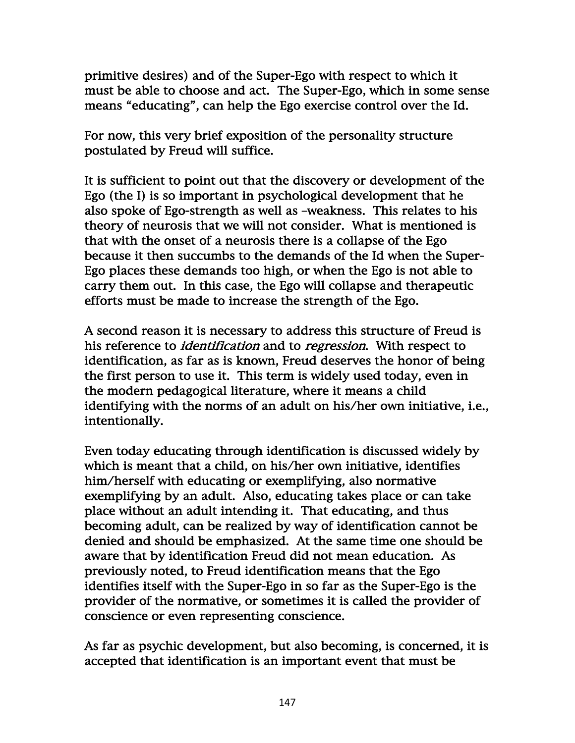primitive desires) and of the Super-Ego with respect to which it must be able to choose and act. The Super-Ego, which in some sense means "educating", can help the Ego exercise control over the Id.

For now, this very brief exposition of the personality structure postulated by Freud will suffice.

It is sufficient to point out that the discovery or development of the Ego (the I) is so important in psychological development that he also spoke of Ego-strength as well as –weakness. This relates to his theory of neurosis that we will not consider. What is mentioned is that with the onset of a neurosis there is a collapse of the Ego because it then succumbs to the demands of the Id when the Super-Ego places these demands too high, or when the Ego is not able to carry them out. In this case, the Ego will collapse and therapeutic efforts must be made to increase the strength of the Ego.

A second reason it is necessary to address this structure of Freud is his reference to *identification* and to *regression*. With respect to identification, as far as is known, Freud deserves the honor of being the first person to use it. This term is widely used today, even in the modern pedagogical literature, where it means a child identifying with the norms of an adult on his/her own initiative, i.e., intentionally.

Even today educating through identification is discussed widely by which is meant that a child, on his/her own initiative, identifies him/herself with educating or exemplifying, also normative exemplifying by an adult. Also, educating takes place or can take place without an adult intending it. That educating, and thus becoming adult, can be realized by way of identification cannot be denied and should be emphasized. At the same time one should be aware that by identification Freud did not mean education. As previously noted, to Freud identification means that the Ego identifies itself with the Super-Ego in so far as the Super-Ego is the provider of the normative, or sometimes it is called the provider of conscience or even representing conscience.

As far as psychic development, but also becoming, is concerned, it is accepted that identification is an important event that must be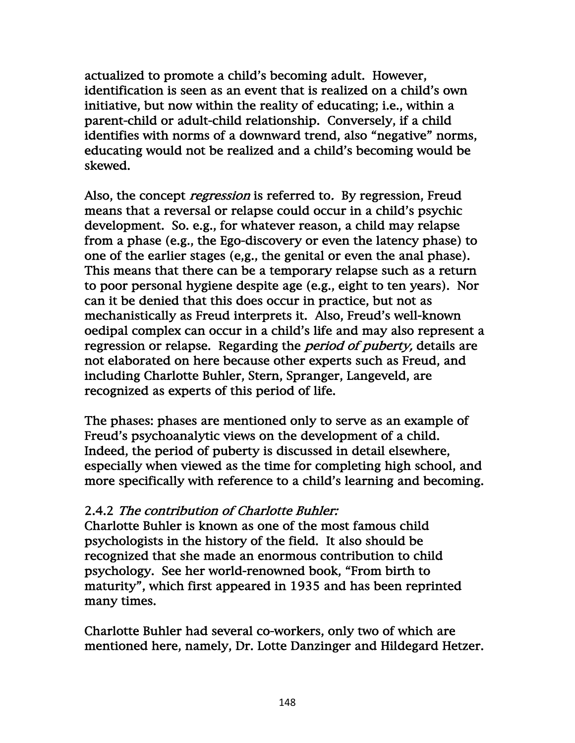actualized to promote a child's becoming adult. However, identification is seen as an event that is realized on a child's own initiative, but now within the reality of educating; i.e., within a parent-child or adult-child relationship. Conversely, if a child identifies with norms of a downward trend, also "negative" norms, educating would not be realized and a child's becoming would be skewed.

Also, the concept *regression* is referred to. By regression, Freud means that a reversal or relapse could occur in a child's psychic development. So. e.g., for whatever reason, a child may relapse from a phase (e.g., the Ego-discovery or even the latency phase) to one of the earlier stages (e,g., the genital or even the anal phase). This means that there can be a temporary relapse such as a return to poor personal hygiene despite age (e.g., eight to ten years). Nor can it be denied that this does occur in practice, but not as mechanistically as Freud interprets it. Also, Freud's well-known oedipal complex can occur in a child's life and may also represent a regression or relapse. Regarding the *period of puberty*, details are not elaborated on here because other experts such as Freud, and including Charlotte Buhler, Stern, Spranger, Langeveld, are recognized as experts of this period of life.

The phases: phases are mentioned only to serve as an example of Freud's psychoanalytic views on the development of a child. Indeed, the period of puberty is discussed in detail elsewhere, especially when viewed as the time for completing high school, and more specifically with reference to a child's learning and becoming.

## 2.4.2 The contribution of Charlotte Buhler:

Charlotte Buhler is known as one of the most famous child psychologists in the history of the field. It also should be recognized that she made an enormous contribution to child psychology. See her world-renowned book, "From birth to maturity", which first appeared in 1935 and has been reprinted many times.

Charlotte Buhler had several co-workers, only two of which are mentioned here, namely, Dr. Lotte Danzinger and Hildegard Hetzer.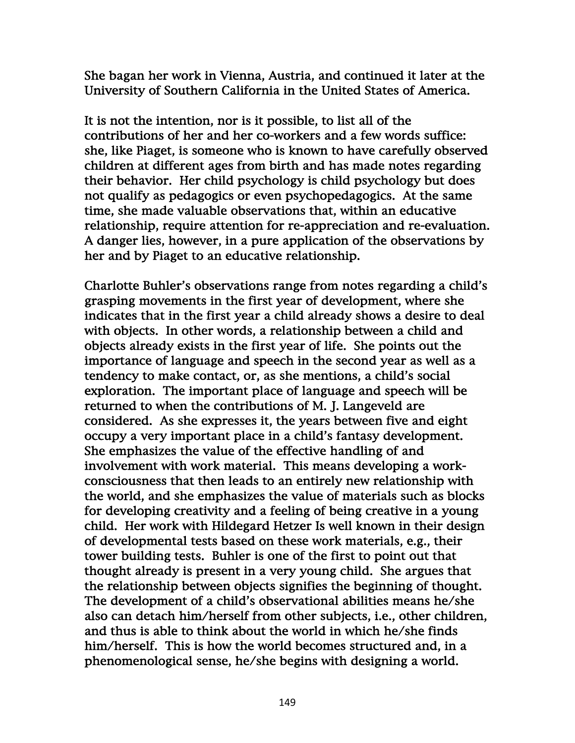She bagan her work in Vienna, Austria, and continued it later at the University of Southern California in the United States of America.

It is not the intention, nor is it possible, to list all of the contributions of her and her co-workers and a few words suffice: she, like Piaget, is someone who is known to have carefully observed children at different ages from birth and has made notes regarding their behavior. Her child psychology is child psychology but does not qualify as pedagogics or even psychopedagogics. At the same time, she made valuable observations that, within an educative relationship, require attention for re-appreciation and re-evaluation. A danger lies, however, in a pure application of the observations by her and by Piaget to an educative relationship.

Charlotte Buhler's observations range from notes regarding a child's grasping movements in the first year of development, where she indicates that in the first year a child already shows a desire to deal with objects. In other words, a relationship between a child and objects already exists in the first year of life. She points out the importance of language and speech in the second year as well as a tendency to make contact, or, as she mentions, a child's social exploration. The important place of language and speech will be returned to when the contributions of M. J. Langeveld are considered. As she expresses it, the years between five and eight occupy a very important place in a child's fantasy development. She emphasizes the value of the effective handling of and involvement with work material. This means developing a workconsciousness that then leads to an entirely new relationship with the world, and she emphasizes the value of materials such as blocks for developing creativity and a feeling of being creative in a young child. Her work with Hildegard Hetzer Is well known in their design of developmental tests based on these work materials, e.g., their tower building tests. Buhler is one of the first to point out that thought already is present in a very young child. She argues that the relationship between objects signifies the beginning of thought. The development of a child's observational abilities means he/she also can detach him/herself from other subjects, i.e., other children, and thus is able to think about the world in which he/she finds him/herself. This is how the world becomes structured and, in a phenomenological sense, he/she begins with designing a world.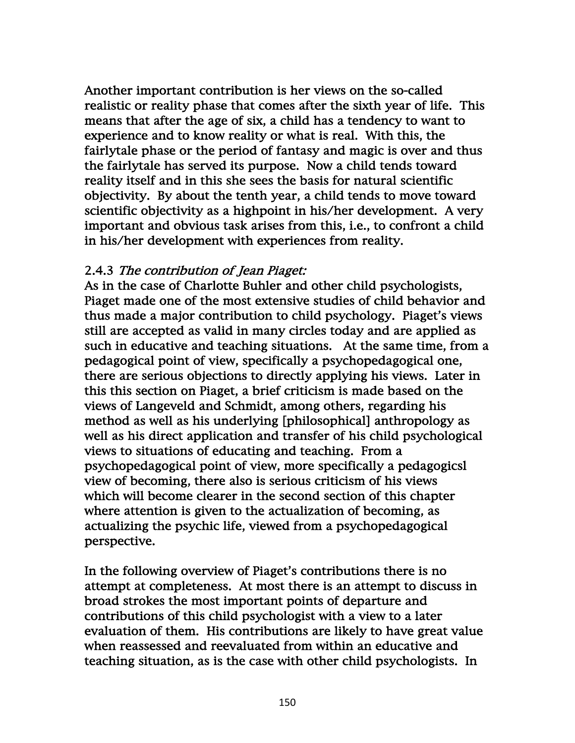Another important contribution is her views on the so-called realistic or reality phase that comes after the sixth year of life. This means that after the age of six, a child has a tendency to want to experience and to know reality or what is real. With this, the fairlytale phase or the period of fantasy and magic is over and thus the fairlytale has served its purpose. Now a child tends toward reality itself and in this she sees the basis for natural scientific objectivity. By about the tenth year, a child tends to move toward scientific objectivity as a highpoint in his/her development. A very important and obvious task arises from this, i.e., to confront a child in his/her development with experiences from reality.

### 2.4.3 The contribution of Jean Piaget:

As in the case of Charlotte Buhler and other child psychologists, Piaget made one of the most extensive studies of child behavior and thus made a major contribution to child psychology. Piaget's views still are accepted as valid in many circles today and are applied as such in educative and teaching situations. At the same time, from a pedagogical point of view, specifically a psychopedagogical one, there are serious objections to directly applying his views. Later in this this section on Piaget, a brief criticism is made based on the views of Langeveld and Schmidt, among others, regarding his method as well as his underlying [philosophical] anthropology as well as his direct application and transfer of his child psychological views to situations of educating and teaching. From a psychopedagogical point of view, more specifically a pedagogicsl view of becoming, there also is serious criticism of his views which will become clearer in the second section of this chapter where attention is given to the actualization of becoming, as actualizing the psychic life, viewed from a psychopedagogical perspective.

In the following overview of Piaget's contributions there is no attempt at completeness. At most there is an attempt to discuss in broad strokes the most important points of departure and contributions of this child psychologist with a view to a later evaluation of them. His contributions are likely to have great value when reassessed and reevaluated from within an educative and teaching situation, as is the case with other child psychologists. In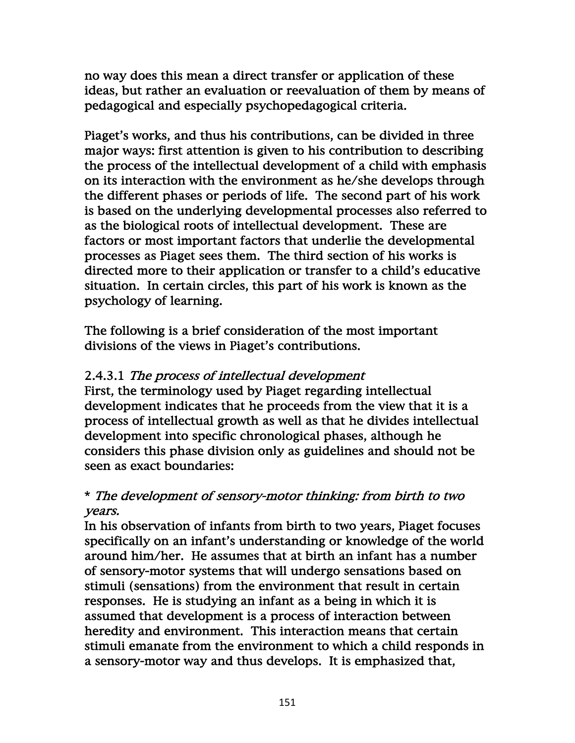no way does this mean a direct transfer or application of these ideas, but rather an evaluation or reevaluation of them by means of pedagogical and especially psychopedagogical criteria.

Piaget's works, and thus his contributions, can be divided in three major ways: first attention is given to his contribution to describing the process of the intellectual development of a child with emphasis on its interaction with the environment as he/she develops through the different phases or periods of life. The second part of his work is based on the underlying developmental processes also referred to as the biological roots of intellectual development. These are factors or most important factors that underlie the developmental processes as Piaget sees them. The third section of his works is directed more to their application or transfer to a child's educative situation. In certain circles, this part of his work is known as the psychology of learning.

The following is a brief consideration of the most important divisions of the views in Piaget's contributions.

## 2.4.3.1 The process of intellectual development

First, the terminology used by Piaget regarding intellectual development indicates that he proceeds from the view that it is a process of intellectual growth as well as that he divides intellectual development into specific chronological phases, although he considers this phase division only as guidelines and should not be seen as exact boundaries:

# \* The development of sensory-motor thinking: from birth to two years.

In his observation of infants from birth to two years, Piaget focuses specifically on an infant's understanding or knowledge of the world around him/her. He assumes that at birth an infant has a number of sensory-motor systems that will undergo sensations based on stimuli (sensations) from the environment that result in certain responses. He is studying an infant as a being in which it is assumed that development is a process of interaction between heredity and environment. This interaction means that certain stimuli emanate from the environment to which a child responds in a sensory-motor way and thus develops. It is emphasized that,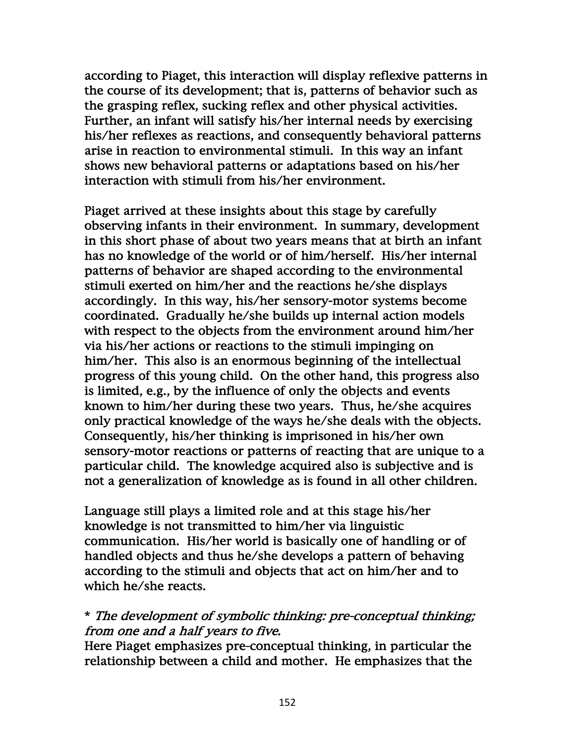according to Piaget, this interaction will display reflexive patterns in the course of its development; that is, patterns of behavior such as the grasping reflex, sucking reflex and other physical activities. Further, an infant will satisfy his/her internal needs by exercising his/her reflexes as reactions, and consequently behavioral patterns arise in reaction to environmental stimuli. In this way an infant shows new behavioral patterns or adaptations based on his/her interaction with stimuli from his/her environment.

Piaget arrived at these insights about this stage by carefully observing infants in their environment. In summary, development in this short phase of about two years means that at birth an infant has no knowledge of the world or of him/herself. His/her internal patterns of behavior are shaped according to the environmental stimuli exerted on him/her and the reactions he/she displays accordingly. In this way, his/her sensory-motor systems become coordinated. Gradually he/she builds up internal action models with respect to the objects from the environment around him/her via his/her actions or reactions to the stimuli impinging on him/her. This also is an enormous beginning of the intellectual progress of this young child. On the other hand, this progress also is limited, e.g., by the influence of only the objects and events known to him/her during these two years. Thus, he/she acquires only practical knowledge of the ways he/she deals with the objects. Consequently, his/her thinking is imprisoned in his/her own sensory-motor reactions or patterns of reacting that are unique to a particular child. The knowledge acquired also is subjective and is not a generalization of knowledge as is found in all other children.

Language still plays a limited role and at this stage his/her knowledge is not transmitted to him/her via linguistic communication. His/her world is basically one of handling or of handled objects and thus he/she develops a pattern of behaving according to the stimuli and objects that act on him/her and to which he/she reacts.

## \* The development of symbolic thinking: pre-conceptual thinking; from one and a half years to five.

Here Piaget emphasizes pre-conceptual thinking, in particular the relationship between a child and mother. He emphasizes that the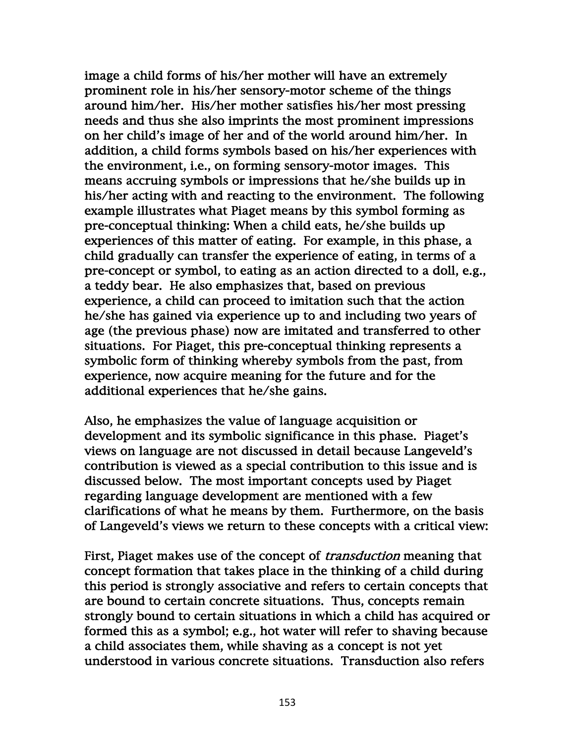image a child forms of his/her mother will have an extremely prominent role in his/her sensory-motor scheme of the things around him/her. His/her mother satisfies his/her most pressing needs and thus she also imprints the most prominent impressions on her child's image of her and of the world around him/her. In addition, a child forms symbols based on his/her experiences with the environment, i.e., on forming sensory-motor images. This means accruing symbols or impressions that he/she builds up in his/her acting with and reacting to the environment. The following example illustrates what Piaget means by this symbol forming as pre-conceptual thinking: When a child eats, he/she builds up experiences of this matter of eating. For example, in this phase, a child gradually can transfer the experience of eating, in terms of a pre-concept or symbol, to eating as an action directed to a doll, e.g., a teddy bear. He also emphasizes that, based on previous experience, a child can proceed to imitation such that the action he/she has gained via experience up to and including two years of age (the previous phase) now are imitated and transferred to other situations. For Piaget, this pre-conceptual thinking represents a symbolic form of thinking whereby symbols from the past, from experience, now acquire meaning for the future and for the additional experiences that he/she gains.

Also, he emphasizes the value of language acquisition or development and its symbolic significance in this phase. Piaget's views on language are not discussed in detail because Langeveld's contribution is viewed as a special contribution to this issue and is discussed below. The most important concepts used by Piaget regarding language development are mentioned with a few clarifications of what he means by them. Furthermore, on the basis of Langeveld's views we return to these concepts with a critical view:

First, Piaget makes use of the concept of *transduction* meaning that concept formation that takes place in the thinking of a child during this period is strongly associative and refers to certain concepts that are bound to certain concrete situations. Thus, concepts remain strongly bound to certain situations in which a child has acquired or formed this as a symbol; e.g., hot water will refer to shaving because a child associates them, while shaving as a concept is not yet understood in various concrete situations. Transduction also refers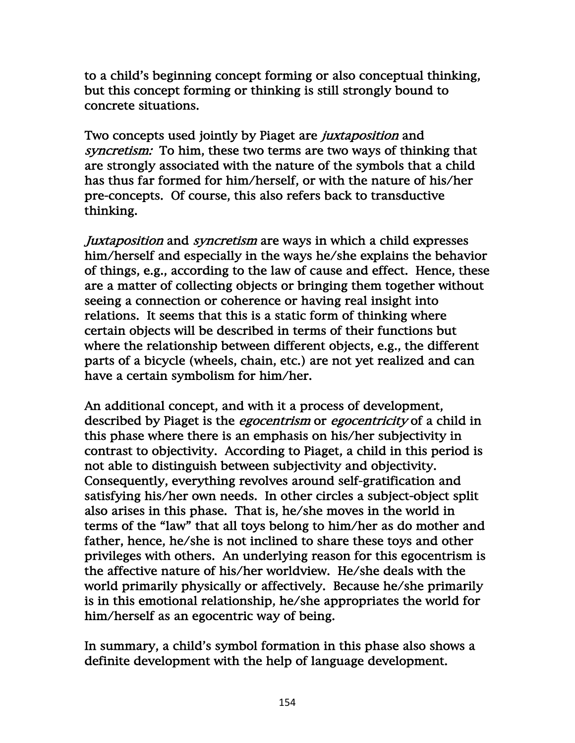to a child's beginning concept forming or also conceptual thinking, but this concept forming or thinking is still strongly bound to concrete situations.

Two concepts used jointly by Piaget are *juxtaposition* and syncretism: To him, these two terms are two ways of thinking that are strongly associated with the nature of the symbols that a child has thus far formed for him/herself, or with the nature of his/her pre-concepts. Of course, this also refers back to transductive thinking.

Juxtaposition and *syncretism* are ways in which a child expresses him/herself and especially in the ways he/she explains the behavior of things, e.g., according to the law of cause and effect. Hence, these are a matter of collecting objects or bringing them together without seeing a connection or coherence or having real insight into relations. It seems that this is a static form of thinking where certain objects will be described in terms of their functions but where the relationship between different objects, e.g., the different parts of a bicycle (wheels, chain, etc.) are not yet realized and can have a certain symbolism for him/her.

An additional concept, and with it a process of development, described by Piaget is the *egocentrism* or *egocentricity* of a child in this phase where there is an emphasis on his/her subjectivity in contrast to objectivity. According to Piaget, a child in this period is not able to distinguish between subjectivity and objectivity. Consequently, everything revolves around self-gratification and satisfying his/her own needs. In other circles a subject-object split also arises in this phase. That is, he/she moves in the world in terms of the "law" that all toys belong to him/her as do mother and father, hence, he/she is not inclined to share these toys and other privileges with others. An underlying reason for this egocentrism is the affective nature of his/her worldview. He/she deals with the world primarily physically or affectively. Because he/she primarily is in this emotional relationship, he/she appropriates the world for him/herself as an egocentric way of being.

In summary, a child's symbol formation in this phase also shows a definite development with the help of language development.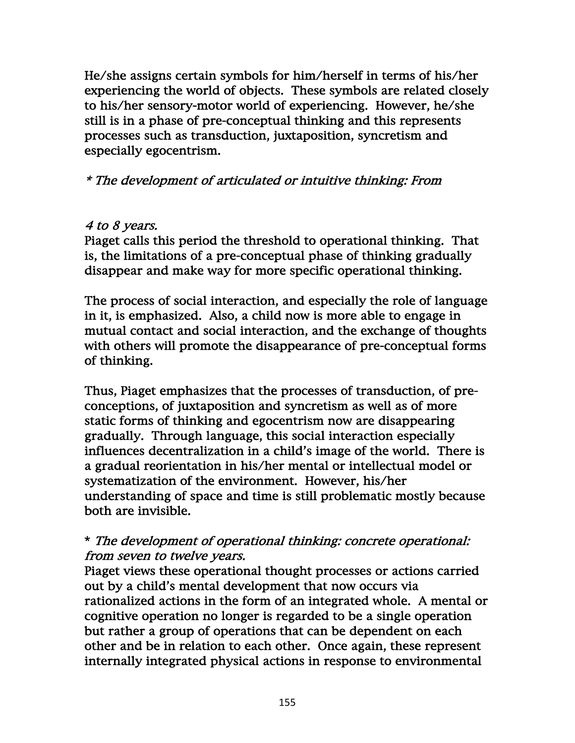He/she assigns certain symbols for him/herself in terms of his/her experiencing the world of objects. These symbols are related closely to his/her sensory-motor world of experiencing. However, he/she still is in a phase of pre-conceptual thinking and this represents processes such as transduction, juxtaposition, syncretism and especially egocentrism.

\* The development of articulated or intuitive thinking: From

# 4 to 8 years.

Piaget calls this period the threshold to operational thinking. That is, the limitations of a pre-conceptual phase of thinking gradually disappear and make way for more specific operational thinking.

The process of social interaction, and especially the role of language in it, is emphasized. Also, a child now is more able to engage in mutual contact and social interaction, and the exchange of thoughts with others will promote the disappearance of pre-conceptual forms of thinking.

Thus, Piaget emphasizes that the processes of transduction, of preconceptions, of juxtaposition and syncretism as well as of more static forms of thinking and egocentrism now are disappearing gradually. Through language, this social interaction especially influences decentralization in a child's image of the world. There is a gradual reorientation in his/her mental or intellectual model or systematization of the environment. However, his/her understanding of space and time is still problematic mostly because both are invisible.

# \* The development of operational thinking: concrete operational: from seven to twelve years.

Piaget views these operational thought processes or actions carried out by a child's mental development that now occurs via rationalized actions in the form of an integrated whole. A mental or cognitive operation no longer is regarded to be a single operation but rather a group of operations that can be dependent on each other and be in relation to each other. Once again, these represent internally integrated physical actions in response to environmental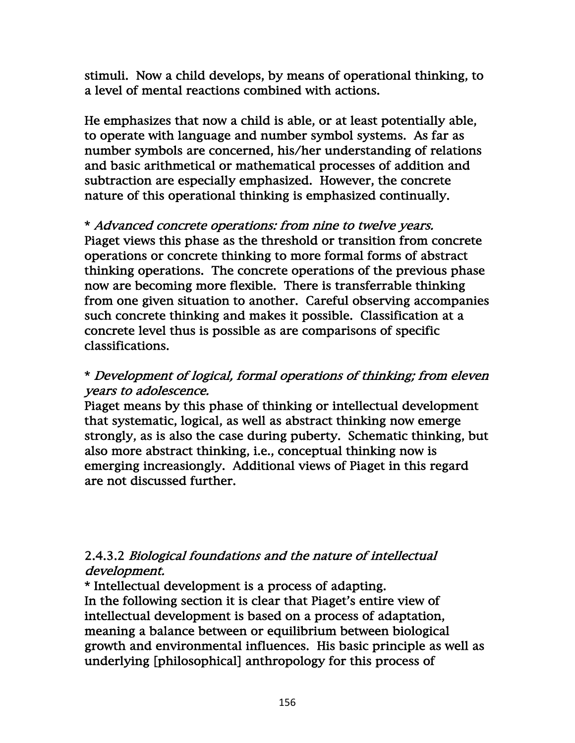stimuli. Now a child develops, by means of operational thinking, to a level of mental reactions combined with actions.

He emphasizes that now a child is able, or at least potentially able, to operate with language and number symbol systems. As far as number symbols are concerned, his/her understanding of relations and basic arithmetical or mathematical processes of addition and subtraction are especially emphasized. However, the concrete nature of this operational thinking is emphasized continually.

\* Advanced concrete operations: from nine to twelve years. Piaget views this phase as the threshold or transition from concrete operations or concrete thinking to more formal forms of abstract thinking operations. The concrete operations of the previous phase now are becoming more flexible. There is transferrable thinking from one given situation to another. Careful observing accompanies such concrete thinking and makes it possible. Classification at a concrete level thus is possible as are comparisons of specific classifications.

## \* Development of logical, formal operations of thinking; from eleven years to adolescence.

Piaget means by this phase of thinking or intellectual development that systematic, logical, as well as abstract thinking now emerge strongly, as is also the case during puberty. Schematic thinking, but also more abstract thinking, i.e., conceptual thinking now is emerging increasiongly. Additional views of Piaget in this regard are not discussed further.

# 2.4.3.2 Biological foundations and the nature of intellectual development.

\* Intellectual development is a process of adapting. In the following section it is clear that Piaget's entire view of intellectual development is based on a process of adaptation, meaning a balance between or equilibrium between biological growth and environmental influences. His basic principle as well as underlying [philosophical] anthropology for this process of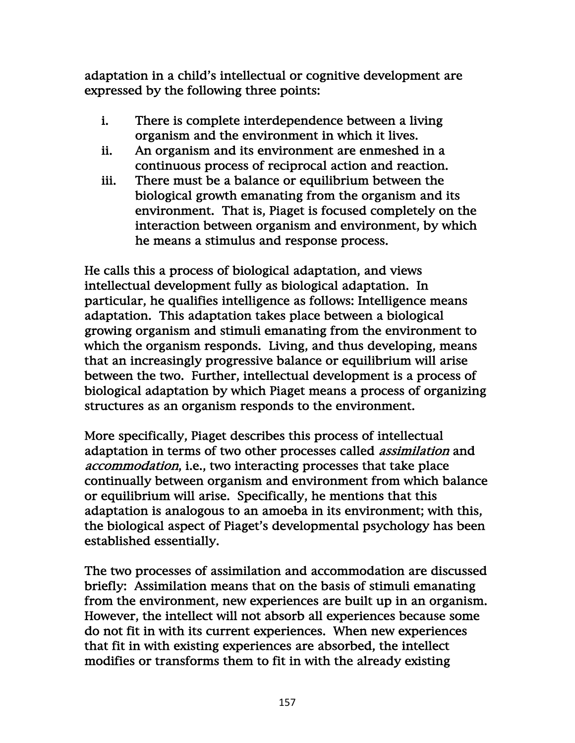adaptation in a child's intellectual or cognitive development are expressed by the following three points:

- i. There is complete interdependence between a living organism and the environment in which it lives.
- ii. An organism and its environment are enmeshed in a continuous process of reciprocal action and reaction.
- iii. There must be a balance or equilibrium between the biological growth emanating from the organism and its environment. That is, Piaget is focused completely on the interaction between organism and environment, by which he means a stimulus and response process.

He calls this a process of biological adaptation, and views intellectual development fully as biological adaptation. In particular, he qualifies intelligence as follows: Intelligence means adaptation. This adaptation takes place between a biological growing organism and stimuli emanating from the environment to which the organism responds. Living, and thus developing, means that an increasingly progressive balance or equilibrium will arise between the two. Further, intellectual development is a process of biological adaptation by which Piaget means a process of organizing structures as an organism responds to the environment.

More specifically, Piaget describes this process of intellectual adaptation in terms of two other processes called *assimilation* and accommodation, i.e., two interacting processes that take place continually between organism and environment from which balance or equilibrium will arise. Specifically, he mentions that this adaptation is analogous to an amoeba in its environment; with this, the biological aspect of Piaget's developmental psychology has been established essentially.

The two processes of assimilation and accommodation are discussed briefly: Assimilation means that on the basis of stimuli emanating from the environment, new experiences are built up in an organism. However, the intellect will not absorb all experiences because some do not fit in with its current experiences. When new experiences that fit in with existing experiences are absorbed, the intellect modifies or transforms them to fit in with the already existing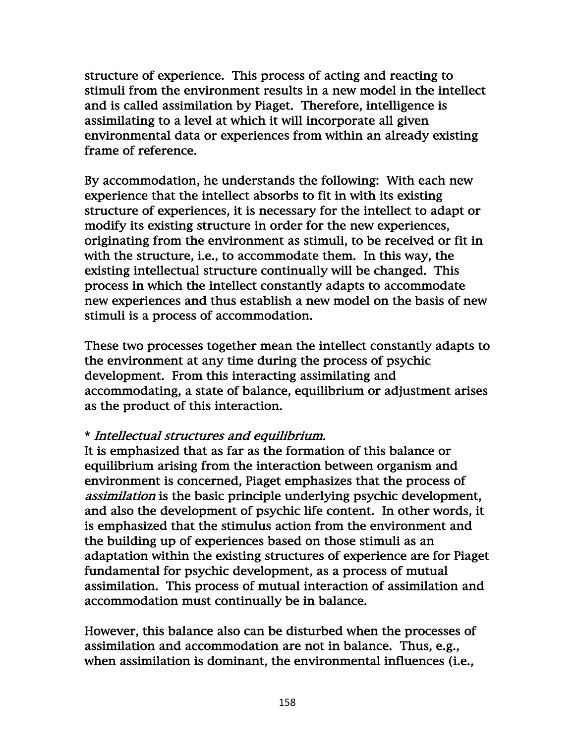structure of experience. This process of acting and reacting to stimuli from the environment results in a new model in the intellect and is called assimilation by Piaget. Therefore, intelligence is assimilating to a level at which it will incorporate all given environmental data or experiences from within an already existing frame of reference.

By accommodation, he understands the following: With each new experience that the intellect absorbs to fit in with its existing structure of experiences, it is necessary for the intellect to adapt or modify its existing structure in order for the new experiences, originating from the environment as stimuli, to be received or fit in with the structure, i.e., to accommodate them. In this way, the existing intellectual structure continually will be changed. This process in which the intellect constantly adapts to accommodate new experiences and thus establish a new model on the basis of new stimuli is a process of accommodation.

These two processes together mean the intellect constantly adapts to the environment at any time during the process of psychic development. From this interacting assimilating and accommodating, a state of balance, equilibrium or adjustment arises as the product of this interaction.

### \* Intellectual structures and equilibrium.

It is emphasized that as far as the formation of this balance or equilibrium arising from the interaction between organism and environment is concerned, Piaget emphasizes that the process of assimilation is the basic principle underlying psychic development, and also the development of psychic life content. In other words, it is emphasized that the stimulus action from the environment and the building up of experiences based on those stimuli as an adaptation within the existing structures of experience are for Piaget fundamental for psychic development, as a process of mutual assimilation. This process of mutual interaction of assimilation and accommodation must continually be in balance.

However, this balance also can be disturbed when the processes of assimilation and accommodation are not in balance. Thus, e.g., when assimilation is dominant, the environmental influences (i.e.,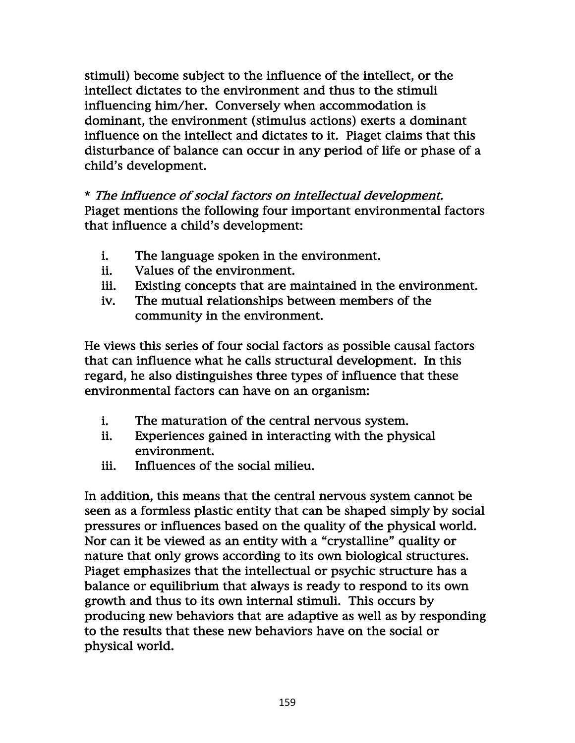stimuli) become subject to the influence of the intellect, or the intellect dictates to the environment and thus to the stimuli influencing him/her. Conversely when accommodation is dominant, the environment (stimulus actions) exerts a dominant influence on the intellect and dictates to it. Piaget claims that this disturbance of balance can occur in any period of life or phase of a child's development.

\* The influence of social factors on intellectual development. Piaget mentions the following four important environmental factors that influence a child's development:

- i. The language spoken in the environment.
- ii. Values of the environment.
- iii. Existing concepts that are maintained in the environment.
- iv. The mutual relationships between members of the community in the environment.

He views this series of four social factors as possible causal factors that can influence what he calls structural development. In this regard, he also distinguishes three types of influence that these environmental factors can have on an organism:

- i. The maturation of the central nervous system.
- ii. Experiences gained in interacting with the physical environment.
- iii. Influences of the social milieu.

In addition, this means that the central nervous system cannot be seen as a formless plastic entity that can be shaped simply by social pressures or influences based on the quality of the physical world. Nor can it be viewed as an entity with a "crystalline" quality or nature that only grows according to its own biological structures. Piaget emphasizes that the intellectual or psychic structure has a balance or equilibrium that always is ready to respond to its own growth and thus to its own internal stimuli. This occurs by producing new behaviors that are adaptive as well as by responding to the results that these new behaviors have on the social or physical world.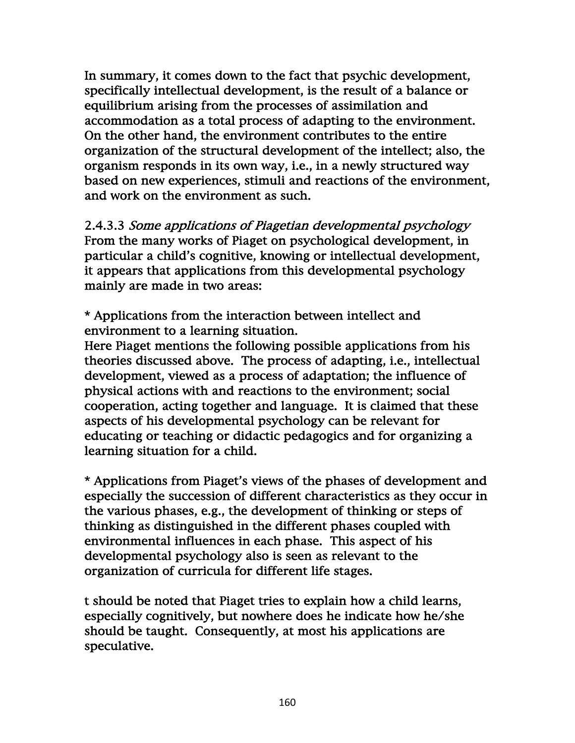In summary, it comes down to the fact that psychic development, specifically intellectual development, is the result of a balance or equilibrium arising from the processes of assimilation and accommodation as a total process of adapting to the environment. On the other hand, the environment contributes to the entire organization of the structural development of the intellect; also, the organism responds in its own way, i.e., in a newly structured way based on new experiences, stimuli and reactions of the environment, and work on the environment as such.

2.4.3.3 Some applications of Piagetian developmental psychology From the many works of Piaget on psychological development, in particular a child's cognitive, knowing or intellectual development, it appears that applications from this developmental psychology mainly are made in two areas:

\* Applications from the interaction between intellect and environment to a learning situation.

Here Piaget mentions the following possible applications from his theories discussed above. The process of adapting, i.e., intellectual development, viewed as a process of adaptation; the influence of physical actions with and reactions to the environment; social cooperation, acting together and language. It is claimed that these aspects of his developmental psychology can be relevant for educating or teaching or didactic pedagogics and for organizing a learning situation for a child.

\* Applications from Piaget's views of the phases of development and especially the succession of different characteristics as they occur in the various phases, e.g., the development of thinking or steps of thinking as distinguished in the different phases coupled with environmental influences in each phase. This aspect of his developmental psychology also is seen as relevant to the organization of curricula for different life stages.

t should be noted that Piaget tries to explain how a child learns, especially cognitively, but nowhere does he indicate how he/she should be taught. Consequently, at most his applications are speculative.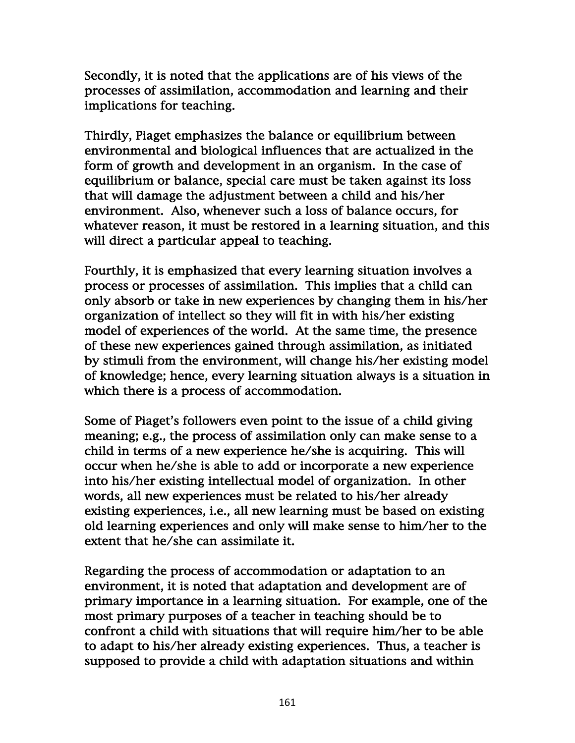Secondly, it is noted that the applications are of his views of the processes of assimilation, accommodation and learning and their implications for teaching.

Thirdly, Piaget emphasizes the balance or equilibrium between environmental and biological influences that are actualized in the form of growth and development in an organism. In the case of equilibrium or balance, special care must be taken against its loss that will damage the adjustment between a child and his/her environment. Also, whenever such a loss of balance occurs, for whatever reason, it must be restored in a learning situation, and this will direct a particular appeal to teaching.

Fourthly, it is emphasized that every learning situation involves a process or processes of assimilation. This implies that a child can only absorb or take in new experiences by changing them in his/her organization of intellect so they will fit in with his/her existing model of experiences of the world. At the same time, the presence of these new experiences gained through assimilation, as initiated by stimuli from the environment, will change his/her existing model of knowledge; hence, every learning situation always is a situation in which there is a process of accommodation.

Some of Piaget's followers even point to the issue of a child giving meaning; e.g., the process of assimilation only can make sense to a child in terms of a new experience he/she is acquiring. This will occur when he/she is able to add or incorporate a new experience into his/her existing intellectual model of organization. In other words, all new experiences must be related to his/her already existing experiences, i.e., all new learning must be based on existing old learning experiences and only will make sense to him/her to the extent that he/she can assimilate it.

Regarding the process of accommodation or adaptation to an environment, it is noted that adaptation and development are of primary importance in a learning situation. For example, one of the most primary purposes of a teacher in teaching should be to confront a child with situations that will require him/her to be able to adapt to his/her already existing experiences. Thus, a teacher is supposed to provide a child with adaptation situations and within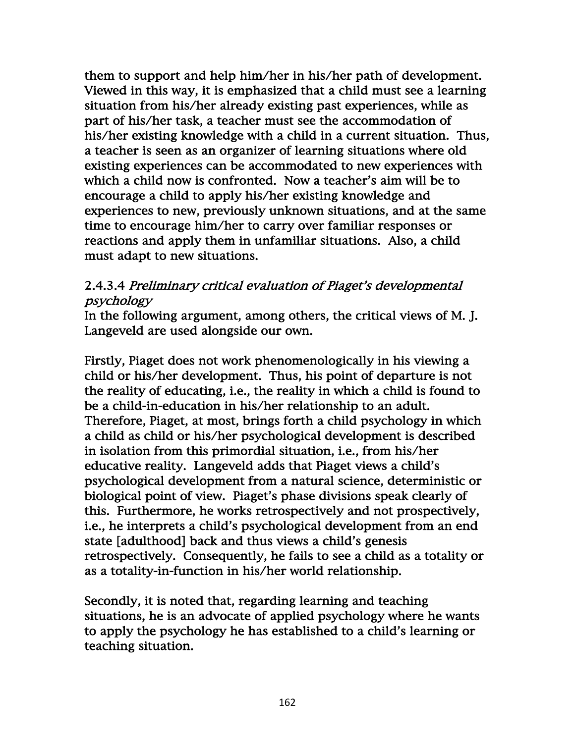them to support and help him/her in his/her path of development. Viewed in this way, it is emphasized that a child must see a learning situation from his/her already existing past experiences, while as part of his/her task, a teacher must see the accommodation of his/her existing knowledge with a child in a current situation. Thus, a teacher is seen as an organizer of learning situations where old existing experiences can be accommodated to new experiences with which a child now is confronted. Now a teacher's aim will be to encourage a child to apply his/her existing knowledge and experiences to new, previously unknown situations, and at the same time to encourage him/her to carry over familiar responses or reactions and apply them in unfamiliar situations. Also, a child must adapt to new situations.

## 2.4.3.4 Preliminary critical evaluation of Piaget's developmental psychology

In the following argument, among others, the critical views of M. J. Langeveld are used alongside our own.

Firstly, Piaget does not work phenomenologically in his viewing a child or his/her development. Thus, his point of departure is not the reality of educating, i.e., the reality in which a child is found to be a child-in-education in his/her relationship to an adult. Therefore, Piaget, at most, brings forth a child psychology in which a child as child or his/her psychological development is described in isolation from this primordial situation, i.e., from his/her educative reality. Langeveld adds that Piaget views a child's psychological development from a natural science, deterministic or biological point of view. Piaget's phase divisions speak clearly of this. Furthermore, he works retrospectively and not prospectively, i.e., he interprets a child's psychological development from an end state [adulthood] back and thus views a child's genesis retrospectively. Consequently, he fails to see a child as a totality or as a totality-in-function in his/her world relationship.

Secondly, it is noted that, regarding learning and teaching situations, he is an advocate of applied psychology where he wants to apply the psychology he has established to a child's learning or teaching situation.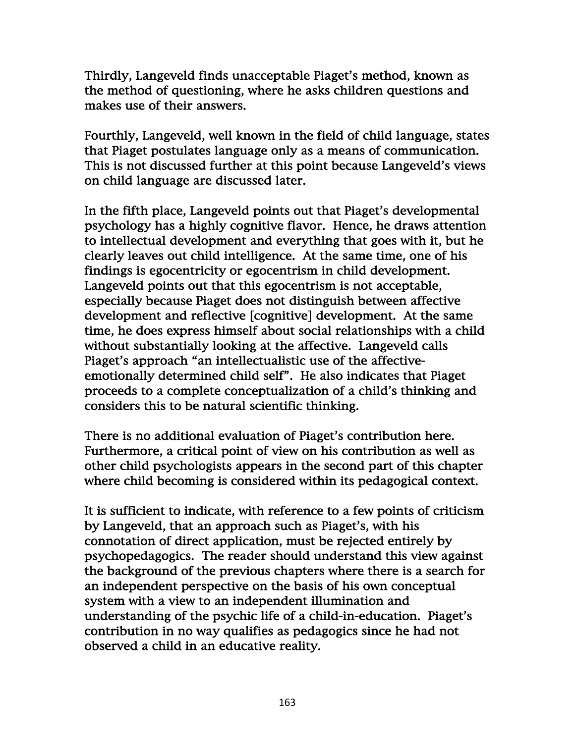Thirdly, Langeveld finds unacceptable Piaget's method, known as the method of questioning, where he asks children questions and makes use of their answers.

Fourthly, Langeveld, well known in the field of child language, states that Piaget postulates language only as a means of communication. This is not discussed further at this point because Langeveld's views on child language are discussed later.

In the fifth place, Langeveld points out that Piaget's developmental psychology has a highly cognitive flavor. Hence, he draws attention to intellectual development and everything that goes with it, but he clearly leaves out child intelligence. At the same time, one of his findings is egocentricity or egocentrism in child development. Langeveld points out that this egocentrism is not acceptable, especially because Piaget does not distinguish between affective development and reflective [cognitive] development. At the same time, he does express himself about social relationships with a child without substantially looking at the affective. Langeveld calls Piaget's approach "an intellectualistic use of the affectiveemotionally determined child self". He also indicates that Piaget proceeds to a complete conceptualization of a child's thinking and considers this to be natural scientific thinking.

There is no additional evaluation of Piaget's contribution here. Furthermore, a critical point of view on his contribution as well as other child psychologists appears in the second part of this chapter where child becoming is considered within its pedagogical context.

It is sufficient to indicate, with reference to a few points of criticism by Langeveld, that an approach such as Piaget's, with his connotation of direct application, must be rejected entirely by psychopedagogics. The reader should understand this view against the background of the previous chapters where there is a search for an independent perspective on the basis of his own conceptual system with a view to an independent illumination and understanding of the psychic life of a child-in-education. Piaget's contribution in no way qualifies as pedagogics since he had not observed a child in an educative reality.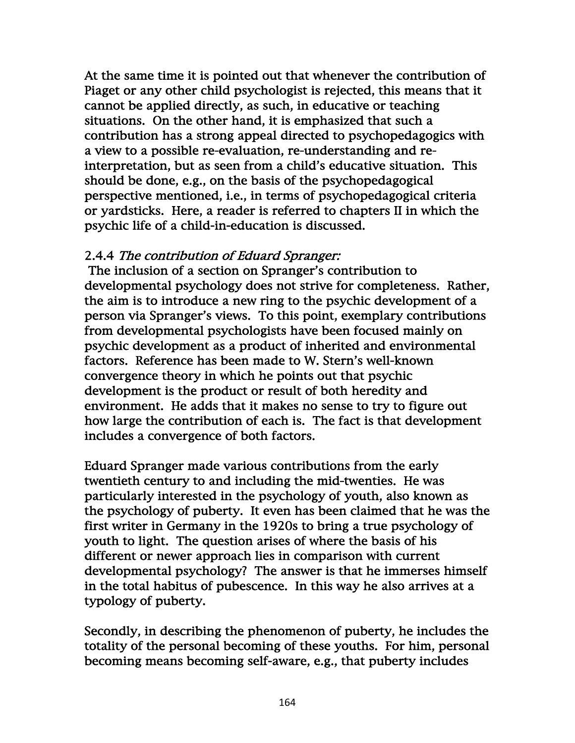At the same time it is pointed out that whenever the contribution of Piaget or any other child psychologist is rejected, this means that it cannot be applied directly, as such, in educative or teaching situations. On the other hand, it is emphasized that such a contribution has a strong appeal directed to psychopedagogics with a view to a possible re-evaluation, re-understanding and reinterpretation, but as seen from a child's educative situation. This should be done, e.g., on the basis of the psychopedagogical perspective mentioned, i.e., in terms of psychopedagogical criteria or yardsticks. Here, a reader is referred to chapters II in which the psychic life of a child-in-education is discussed.

### 2.4.4 The contribution of Eduard Spranger:

 The inclusion of a section on Spranger's contribution to developmental psychology does not strive for completeness. Rather, the aim is to introduce a new ring to the psychic development of a person via Spranger's views. To this point, exemplary contributions from developmental psychologists have been focused mainly on psychic development as a product of inherited and environmental factors. Reference has been made to W. Stern's well-known convergence theory in which he points out that psychic development is the product or result of both heredity and environment. He adds that it makes no sense to try to figure out how large the contribution of each is. The fact is that development includes a convergence of both factors.

Eduard Spranger made various contributions from the early twentieth century to and including the mid-twenties. He was particularly interested in the psychology of youth, also known as the psychology of puberty. It even has been claimed that he was the first writer in Germany in the 1920s to bring a true psychology of youth to light. The question arises of where the basis of his different or newer approach lies in comparison with current developmental psychology? The answer is that he immerses himself in the total habitus of pubescence. In this way he also arrives at a typology of puberty.

Secondly, in describing the phenomenon of puberty, he includes the totality of the personal becoming of these youths. For him, personal becoming means becoming self-aware, e.g., that puberty includes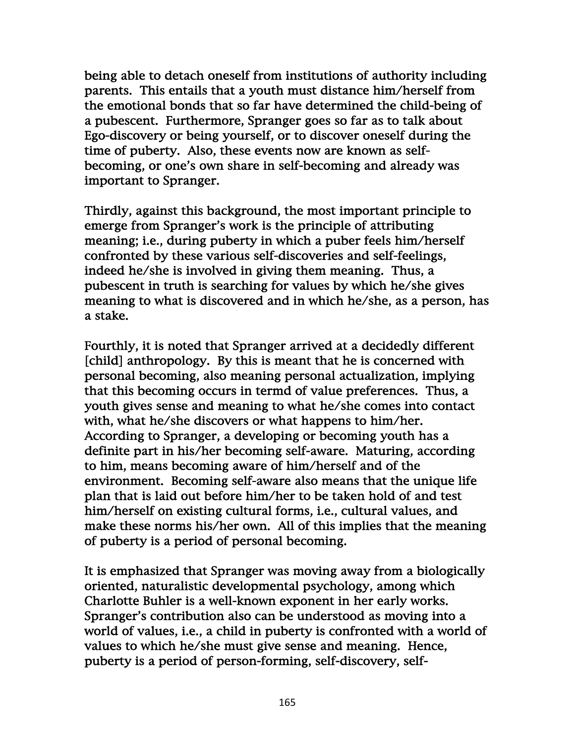being able to detach oneself from institutions of authority including parents. This entails that a youth must distance him/herself from the emotional bonds that so far have determined the child-being of a pubescent. Furthermore, Spranger goes so far as to talk about Ego-discovery or being yourself, or to discover oneself during the time of puberty. Also, these events now are known as selfbecoming, or one's own share in self-becoming and already was important to Spranger.

Thirdly, against this background, the most important principle to emerge from Spranger's work is the principle of attributing meaning; i.e., during puberty in which a puber feels him/herself confronted by these various self-discoveries and self-feelings, indeed he/she is involved in giving them meaning. Thus, a pubescent in truth is searching for values by which he/she gives meaning to what is discovered and in which he/she, as a person, has a stake.

Fourthly, it is noted that Spranger arrived at a decidedly different [child] anthropology. By this is meant that he is concerned with personal becoming, also meaning personal actualization, implying that this becoming occurs in termd of value preferences. Thus, a youth gives sense and meaning to what he/she comes into contact with, what he/she discovers or what happens to him/her. According to Spranger, a developing or becoming youth has a definite part in his/her becoming self-aware. Maturing, according to him, means becoming aware of him/herself and of the environment. Becoming self-aware also means that the unique life plan that is laid out before him/her to be taken hold of and test him/herself on existing cultural forms, i.e., cultural values, and make these norms his/her own. All of this implies that the meaning of puberty is a period of personal becoming.

It is emphasized that Spranger was moving away from a biologically oriented, naturalistic developmental psychology, among which Charlotte Buhler is a well-known exponent in her early works. Spranger's contribution also can be understood as moving into a world of values, i.e., a child in puberty is confronted with a world of values to which he/she must give sense and meaning. Hence, puberty is a period of person-forming, self-discovery, self-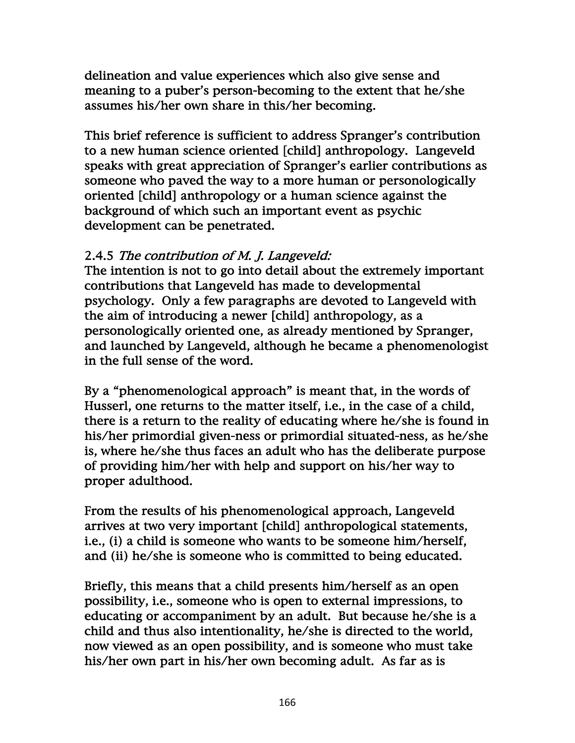delineation and value experiences which also give sense and meaning to a puber's person-becoming to the extent that he/she assumes his/her own share in this/her becoming.

This brief reference is sufficient to address Spranger's contribution to a new human science oriented [child] anthropology. Langeveld speaks with great appreciation of Spranger's earlier contributions as someone who paved the way to a more human or personologically oriented [child] anthropology or a human science against the background of which such an important event as psychic development can be penetrated.

## 2.4.5 The contribution of M. J. Langeveld:

The intention is not to go into detail about the extremely important contributions that Langeveld has made to developmental psychology. Only a few paragraphs are devoted to Langeveld with the aim of introducing a newer [child] anthropology, as a personologically oriented one, as already mentioned by Spranger, and launched by Langeveld, although he became a phenomenologist in the full sense of the word.

By a "phenomenological approach" is meant that, in the words of Husserl, one returns to the matter itself, i.e., in the case of a child, there is a return to the reality of educating where he/she is found in his/her primordial given-ness or primordial situated-ness, as he/she is, where he/she thus faces an adult who has the deliberate purpose of providing him/her with help and support on his/her way to proper adulthood.

From the results of his phenomenological approach, Langeveld arrives at two very important [child] anthropological statements, i.e., (i) a child is someone who wants to be someone him/herself, and (ii) he/she is someone who is committed to being educated.

Briefly, this means that a child presents him/herself as an open possibility, i.e., someone who is open to external impressions, to educating or accompaniment by an adult. But because he/she is a child and thus also intentionality, he/she is directed to the world, now viewed as an open possibility, and is someone who must take his/her own part in his/her own becoming adult. As far as is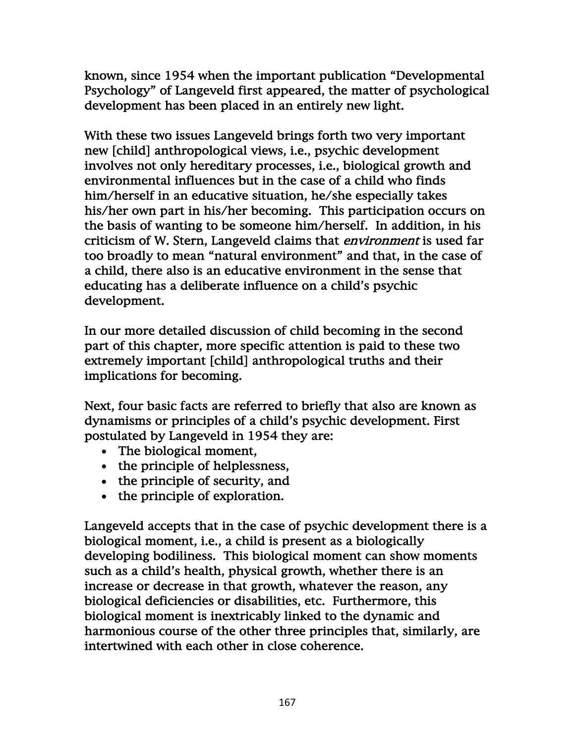known, since 1954 when the important publication "Developmental Psychology" of Langeveld first appeared, the matter of psychological development has been placed in an entirely new light.

With these two issues Langeveld brings forth two very important new [child] anthropological views, i.e., psychic development involves not only hereditary processes, i.e., biological growth and environmental influences but in the case of a child who finds him/herself in an educative situation, he/she especially takes his/her own part in his/her becoming. This participation occurs on the basis of wanting to be someone him/herself. In addition, in his criticism of W. Stern, Langeveld claims that *environment* is used far too broadly to mean "natural environment" and that, in the case of a child, there also is an educative environment in the sense that educating has a deliberate influence on a child's psychic development.

In our more detailed discussion of child becoming in the second part of this chapter, more specific attention is paid to these two extremely important [child] anthropological truths and their implications for becoming.

Next, four basic facts are referred to briefly that also are known as dynamisms or principles of a child's psychic development. First postulated by Langeveld in 1954 they are:

- The biological moment,
- the principle of helplessness,
- the principle of security, and
- the principle of exploration.

Langeveld accepts that in the case of psychic development there is a biological moment, i.e., a child is present as a biologically developing bodiliness. This biological moment can show moments such as a child's health, physical growth, whether there is an increase or decrease in that growth, whatever the reason, any biological deficiencies or disabilities, etc. Furthermore, this biological moment is inextricably linked to the dynamic and harmonious course of the other three principles that, similarly, are intertwined with each other in close coherence.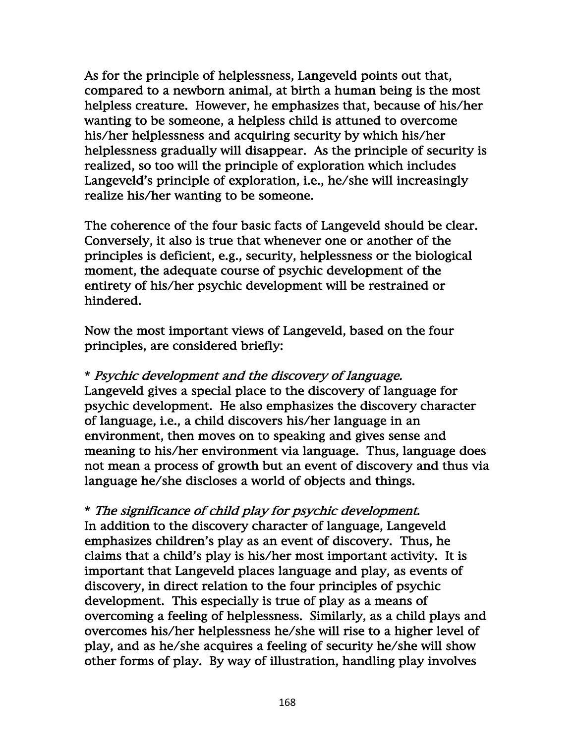As for the principle of helplessness, Langeveld points out that, compared to a newborn animal, at birth a human being is the most helpless creature. However, he emphasizes that, because of his/her wanting to be someone, a helpless child is attuned to overcome his/her helplessness and acquiring security by which his/her helplessness gradually will disappear. As the principle of security is realized, so too will the principle of exploration which includes Langeveld's principle of exploration, i.e., he/she will increasingly realize his/her wanting to be someone.

The coherence of the four basic facts of Langeveld should be clear. Conversely, it also is true that whenever one or another of the principles is deficient, e.g., security, helplessness or the biological moment, the adequate course of psychic development of the entirety of his/her psychic development will be restrained or hindered.

Now the most important views of Langeveld, based on the four principles, are considered briefly:

\* Psychic development and the discovery of language. Langeveld gives a special place to the discovery of language for psychic development. He also emphasizes the discovery character of language, i.e., a child discovers his/her language in an environment, then moves on to speaking and gives sense and meaning to his/her environment via language. Thus, language does not mean a process of growth but an event of discovery and thus via language he/she discloses a world of objects and things.

\* The significance of child play for psychic development. In addition to the discovery character of language, Langeveld emphasizes children's play as an event of discovery. Thus, he claims that a child's play is his/her most important activity. It is important that Langeveld places language and play, as events of discovery, in direct relation to the four principles of psychic development. This especially is true of play as a means of overcoming a feeling of helplessness. Similarly, as a child plays and overcomes his/her helplessness he/she will rise to a higher level of play, and as he/she acquires a feeling of security he/she will show other forms of play. By way of illustration, handling play involves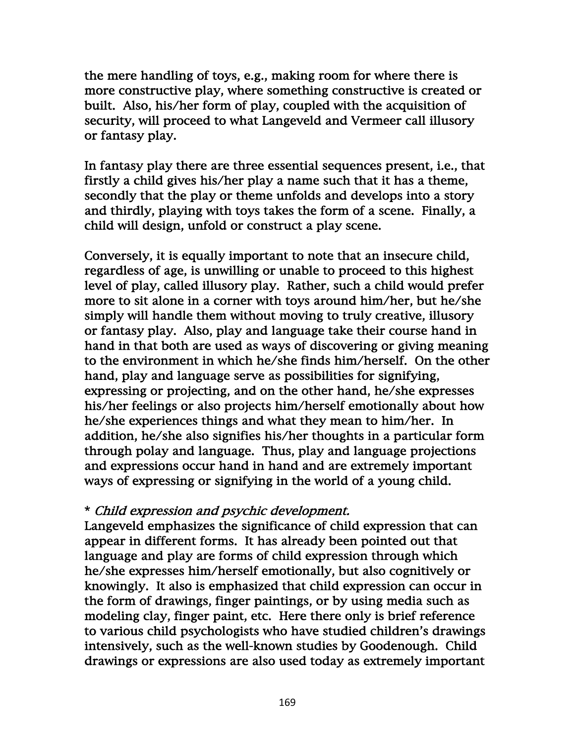the mere handling of toys, e.g., making room for where there is more constructive play, where something constructive is created or built. Also, his/her form of play, coupled with the acquisition of security, will proceed to what Langeveld and Vermeer call illusory or fantasy play.

In fantasy play there are three essential sequences present, i.e., that firstly a child gives his/her play a name such that it has a theme, secondly that the play or theme unfolds and develops into a story and thirdly, playing with toys takes the form of a scene. Finally, a child will design, unfold or construct a play scene.

Conversely, it is equally important to note that an insecure child, regardless of age, is unwilling or unable to proceed to this highest level of play, called illusory play. Rather, such a child would prefer more to sit alone in a corner with toys around him/her, but he/she simply will handle them without moving to truly creative, illusory or fantasy play. Also, play and language take their course hand in hand in that both are used as ways of discovering or giving meaning to the environment in which he/she finds him/herself. On the other hand, play and language serve as possibilities for signifying, expressing or projecting, and on the other hand, he/she expresses his/her feelings or also projects him/herself emotionally about how he/she experiences things and what they mean to him/her. In addition, he/she also signifies his/her thoughts in a particular form through polay and language. Thus, play and language projections and expressions occur hand in hand and are extremely important ways of expressing or signifying in the world of a young child.

### \* Child expression and psychic development.

Langeveld emphasizes the significance of child expression that can appear in different forms. It has already been pointed out that language and play are forms of child expression through which he/she expresses him/herself emotionally, but also cognitively or knowingly. It also is emphasized that child expression can occur in the form of drawings, finger paintings, or by using media such as modeling clay, finger paint, etc. Here there only is brief reference to various child psychologists who have studied children's drawings intensively, such as the well-known studies by Goodenough. Child drawings or expressions are also used today as extremely important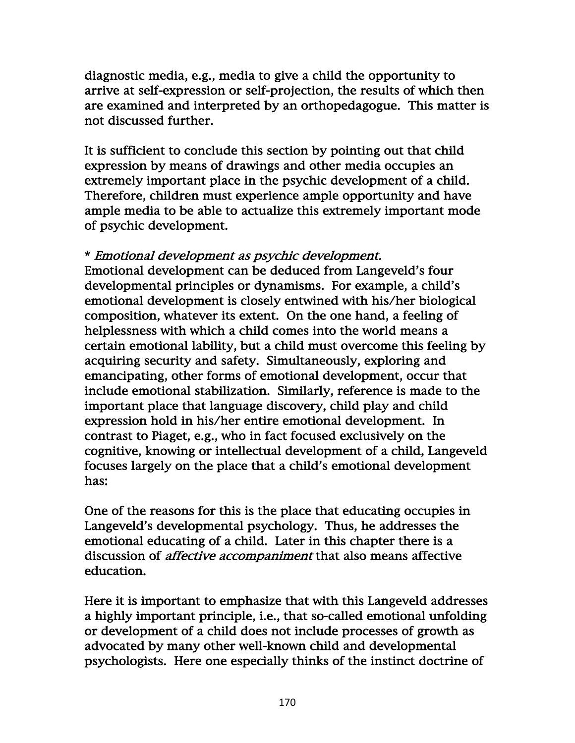diagnostic media, e.g., media to give a child the opportunity to arrive at self-expression or self-projection, the results of which then are examined and interpreted by an orthopedagogue. This matter is not discussed further.

It is sufficient to conclude this section by pointing out that child expression by means of drawings and other media occupies an extremely important place in the psychic development of a child. Therefore, children must experience ample opportunity and have ample media to be able to actualize this extremely important mode of psychic development.

## \* Emotional development as psychic development.

Emotional development can be deduced from Langeveld's four developmental principles or dynamisms. For example, a child's emotional development is closely entwined with his/her biological composition, whatever its extent. On the one hand, a feeling of helplessness with which a child comes into the world means a certain emotional lability, but a child must overcome this feeling by acquiring security and safety. Simultaneously, exploring and emancipating, other forms of emotional development, occur that include emotional stabilization. Similarly, reference is made to the important place that language discovery, child play and child expression hold in his/her entire emotional development. In contrast to Piaget, e.g., who in fact focused exclusively on the cognitive, knowing or intellectual development of a child, Langeveld focuses largely on the place that a child's emotional development has:

One of the reasons for this is the place that educating occupies in Langeveld's developmental psychology. Thus, he addresses the emotional educating of a child. Later in this chapter there is a discussion of *affective accompaniment* that also means affective education.

Here it is important to emphasize that with this Langeveld addresses a highly important principle, i.e., that so-called emotional unfolding or development of a child does not include processes of growth as advocated by many other well-known child and developmental psychologists. Here one especially thinks of the instinct doctrine of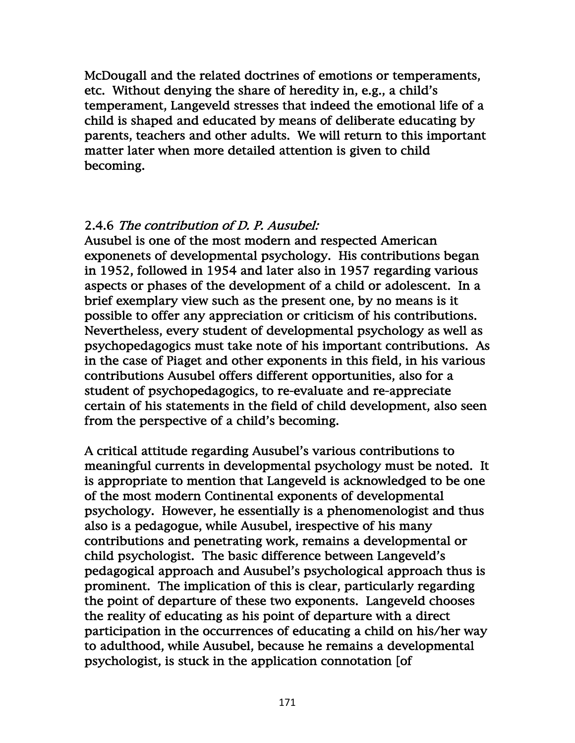McDougall and the related doctrines of emotions or temperaments, etc. Without denying the share of heredity in, e.g., a child's temperament, Langeveld stresses that indeed the emotional life of a child is shaped and educated by means of deliberate educating by parents, teachers and other adults. We will return to this important matter later when more detailed attention is given to child becoming.

## 2.4.6 The contribution of D. P. Ausubel:

Ausubel is one of the most modern and respected American exponenets of developmental psychology. His contributions began in 1952, followed in 1954 and later also in 1957 regarding various aspects or phases of the development of a child or adolescent. In a brief exemplary view such as the present one, by no means is it possible to offer any appreciation or criticism of his contributions. Nevertheless, every student of developmental psychology as well as psychopedagogics must take note of his important contributions. As in the case of Piaget and other exponents in this field, in his various contributions Ausubel offers different opportunities, also for a student of psychopedagogics, to re-evaluate and re-appreciate certain of his statements in the field of child development, also seen from the perspective of a child's becoming.

A critical attitude regarding Ausubel's various contributions to meaningful currents in developmental psychology must be noted. It is appropriate to mention that Langeveld is acknowledged to be one of the most modern Continental exponents of developmental psychology. However, he essentially is a phenomenologist and thus also is a pedagogue, while Ausubel, irespective of his many contributions and penetrating work, remains a developmental or child psychologist. The basic difference between Langeveld's pedagogical approach and Ausubel's psychological approach thus is prominent. The implication of this is clear, particularly regarding the point of departure of these two exponents. Langeveld chooses the reality of educating as his point of departure with a direct participation in the occurrences of educating a child on his/her way to adulthood, while Ausubel, because he remains a developmental psychologist, is stuck in the application connotation [of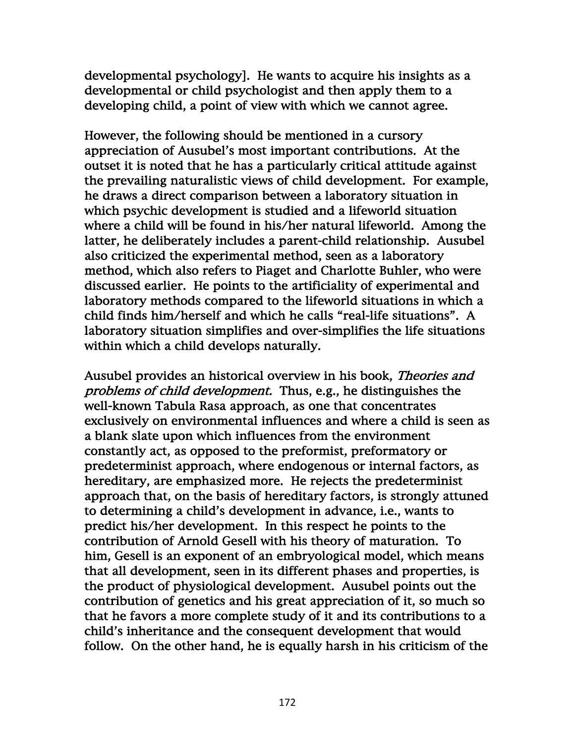developmental psychology]. He wants to acquire his insights as a developmental or child psychologist and then apply them to a developing child, a point of view with which we cannot agree.

However, the following should be mentioned in a cursory appreciation of Ausubel's most important contributions. At the outset it is noted that he has a particularly critical attitude against the prevailing naturalistic views of child development. For example, he draws a direct comparison between a laboratory situation in which psychic development is studied and a lifeworld situation where a child will be found in his/her natural lifeworld. Among the latter, he deliberately includes a parent-child relationship. Ausubel also criticized the experimental method, seen as a laboratory method, which also refers to Piaget and Charlotte Buhler, who were discussed earlier. He points to the artificiality of experimental and laboratory methods compared to the lifeworld situations in which a child finds him/herself and which he calls "real-life situations". A laboratory situation simplifies and over-simplifies the life situations within which a child develops naturally.

Ausubel provides an historical overview in his book, Theories and problems of child development. Thus, e.g., he distinguishes the well-known Tabula Rasa approach, as one that concentrates exclusively on environmental influences and where a child is seen as a blank slate upon which influences from the environment constantly act, as opposed to the preformist, preformatory or predeterminist approach, where endogenous or internal factors, as hereditary, are emphasized more. He rejects the predeterminist approach that, on the basis of hereditary factors, is strongly attuned to determining a child's development in advance, i.e., wants to predict his/her development. In this respect he points to the contribution of Arnold Gesell with his theory of maturation. To him, Gesell is an exponent of an embryological model, which means that all development, seen in its different phases and properties, is the product of physiological development. Ausubel points out the contribution of genetics and his great appreciation of it, so much so that he favors a more complete study of it and its contributions to a child's inheritance and the consequent development that would follow. On the other hand, he is equally harsh in his criticism of the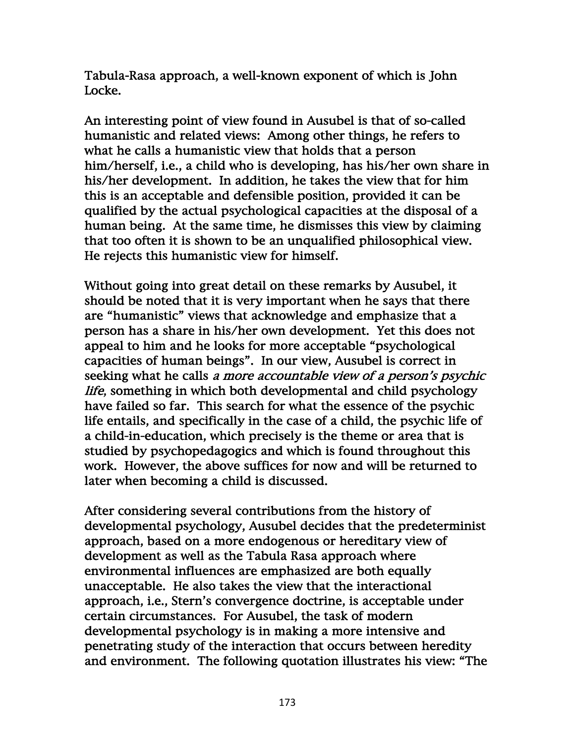Tabula-Rasa approach, a well-known exponent of which is John Locke.

An interesting point of view found in Ausubel is that of so-called humanistic and related views: Among other things, he refers to what he calls a humanistic view that holds that a person him/herself, i.e., a child who is developing, has his/her own share in his/her development. In addition, he takes the view that for him this is an acceptable and defensible position, provided it can be qualified by the actual psychological capacities at the disposal of a human being. At the same time, he dismisses this view by claiming that too often it is shown to be an unqualified philosophical view. He rejects this humanistic view for himself.

Without going into great detail on these remarks by Ausubel, it should be noted that it is very important when he says that there are "humanistic" views that acknowledge and emphasize that a person has a share in his/her own development. Yet this does not appeal to him and he looks for more acceptable "psychological capacities of human beings". In our view, Ausubel is correct in seeking what he calls a more accountable view of a person's psychic life, something in which both developmental and child psychology have failed so far. This search for what the essence of the psychic life entails, and specifically in the case of a child, the psychic life of a child-in-education, which precisely is the theme or area that is studied by psychopedagogics and which is found throughout this work. However, the above suffices for now and will be returned to later when becoming a child is discussed.

After considering several contributions from the history of developmental psychology, Ausubel decides that the predeterminist approach, based on a more endogenous or hereditary view of development as well as the Tabula Rasa approach where environmental influences are emphasized are both equally unacceptable. He also takes the view that the interactional approach, i.e., Stern's convergence doctrine, is acceptable under certain circumstances. For Ausubel, the task of modern developmental psychology is in making a more intensive and penetrating study of the interaction that occurs between heredity and environment. The following quotation illustrates his view: "The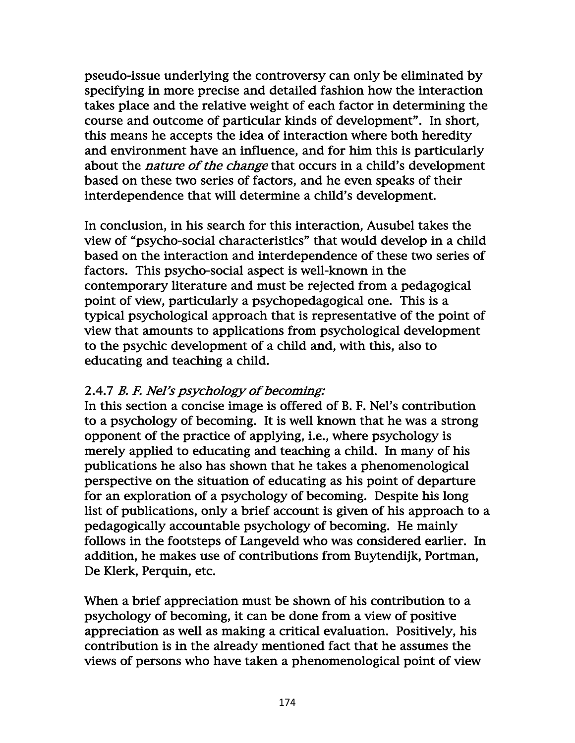pseudo-issue underlying the controversy can only be eliminated by specifying in more precise and detailed fashion how the interaction takes place and the relative weight of each factor in determining the course and outcome of particular kinds of development". In short, this means he accepts the idea of interaction where both heredity and environment have an influence, and for him this is particularly about the *nature of the change* that occurs in a child's development based on these two series of factors, and he even speaks of their interdependence that will determine a child's development.

In conclusion, in his search for this interaction, Ausubel takes the view of "psycho-social characteristics" that would develop in a child based on the interaction and interdependence of these two series of factors. This psycho-social aspect is well-known in the contemporary literature and must be rejected from a pedagogical point of view, particularly a psychopedagogical one. This is a typical psychological approach that is representative of the point of view that amounts to applications from psychological development to the psychic development of a child and, with this, also to educating and teaching a child.

### 2.4.7 B. F. Nel's psychology of becoming:

In this section a concise image is offered of B. F. Nel's contribution to a psychology of becoming. It is well known that he was a strong opponent of the practice of applying, i.e., where psychology is merely applied to educating and teaching a child. In many of his publications he also has shown that he takes a phenomenological perspective on the situation of educating as his point of departure for an exploration of a psychology of becoming. Despite his long list of publications, only a brief account is given of his approach to a pedagogically accountable psychology of becoming. He mainly follows in the footsteps of Langeveld who was considered earlier. In addition, he makes use of contributions from Buytendijk, Portman, De Klerk, Perquin, etc.

When a brief appreciation must be shown of his contribution to a psychology of becoming, it can be done from a view of positive appreciation as well as making a critical evaluation. Positively, his contribution is in the already mentioned fact that he assumes the views of persons who have taken a phenomenological point of view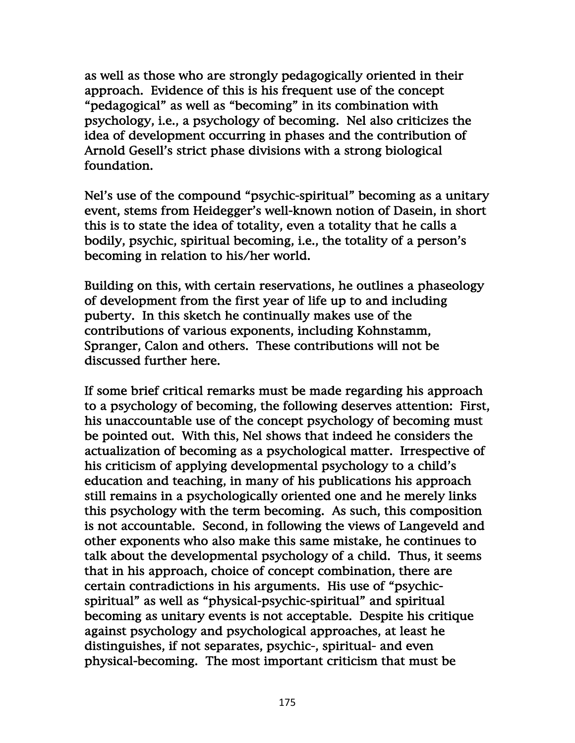as well as those who are strongly pedagogically oriented in their approach. Evidence of this is his frequent use of the concept "pedagogical" as well as "becoming" in its combination with psychology, i.e., a psychology of becoming. Nel also criticizes the idea of development occurring in phases and the contribution of Arnold Gesell's strict phase divisions with a strong biological foundation.

Nel's use of the compound "psychic-spiritual" becoming as a unitary event, stems from Heidegger's well-known notion of Dasein, in short this is to state the idea of totality, even a totality that he calls a bodily, psychic, spiritual becoming, i.e., the totality of a person's becoming in relation to his/her world.

Building on this, with certain reservations, he outlines a phaseology of development from the first year of life up to and including puberty. In this sketch he continually makes use of the contributions of various exponents, including Kohnstamm, Spranger, Calon and others. These contributions will not be discussed further here.

If some brief critical remarks must be made regarding his approach to a psychology of becoming, the following deserves attention: First, his unaccountable use of the concept psychology of becoming must be pointed out. With this, Nel shows that indeed he considers the actualization of becoming as a psychological matter. Irrespective of his criticism of applying developmental psychology to a child's education and teaching, in many of his publications his approach still remains in a psychologically oriented one and he merely links this psychology with the term becoming. As such, this composition is not accountable. Second, in following the views of Langeveld and other exponents who also make this same mistake, he continues to talk about the developmental psychology of a child. Thus, it seems that in his approach, choice of concept combination, there are certain contradictions in his arguments. His use of "psychicspiritual" as well as "physical-psychic-spiritual" and spiritual becoming as unitary events is not acceptable. Despite his critique against psychology and psychological approaches, at least he distinguishes, if not separates, psychic-, spiritual- and even physical-becoming. The most important criticism that must be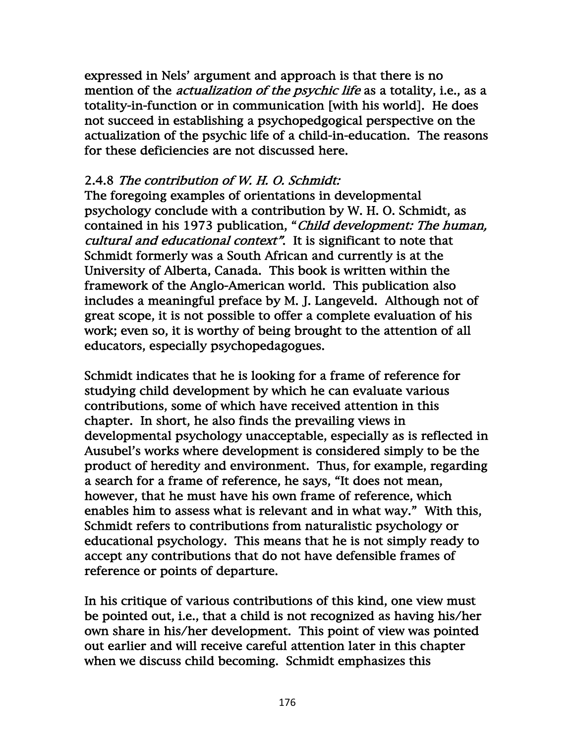expressed in Nels' argument and approach is that there is no mention of the *actualization of the psychic life* as a totality, i.e., as a totality-in-function or in communication [with his world]. He does not succeed in establishing a psychopedgogical perspective on the actualization of the psychic life of a child-in-education. The reasons for these deficiencies are not discussed here.

## 2.4.8 The contribution of W. H. O. Schmidt:

The foregoing examples of orientations in developmental psychology conclude with a contribution by W. H. O. Schmidt, as contained in his 1973 publication, "Child development: The human, cultural and educational context". It is significant to note that Schmidt formerly was a South African and currently is at the University of Alberta, Canada. This book is written within the framework of the Anglo-American world. This publication also includes a meaningful preface by M. J. Langeveld. Although not of great scope, it is not possible to offer a complete evaluation of his work; even so, it is worthy of being brought to the attention of all educators, especially psychopedagogues.

Schmidt indicates that he is looking for a frame of reference for studying child development by which he can evaluate various contributions, some of which have received attention in this chapter. In short, he also finds the prevailing views in developmental psychology unacceptable, especially as is reflected in Ausubel's works where development is considered simply to be the product of heredity and environment. Thus, for example, regarding a search for a frame of reference, he says, "It does not mean, however, that he must have his own frame of reference, which enables him to assess what is relevant and in what way." With this, Schmidt refers to contributions from naturalistic psychology or educational psychology. This means that he is not simply ready to accept any contributions that do not have defensible frames of reference or points of departure.

In his critique of various contributions of this kind, one view must be pointed out, i.e., that a child is not recognized as having his/her own share in his/her development. This point of view was pointed out earlier and will receive careful attention later in this chapter when we discuss child becoming. Schmidt emphasizes this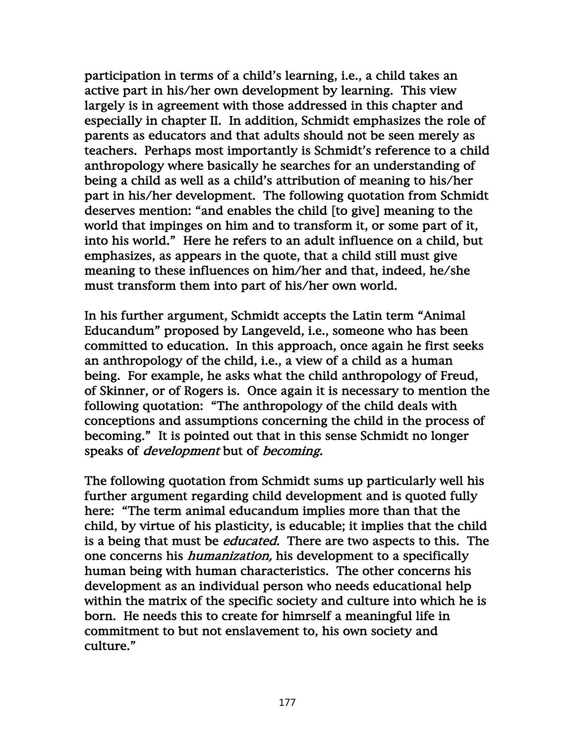participation in terms of a child's learning, i.e., a child takes an active part in his/her own development by learning. This view largely is in agreement with those addressed in this chapter and especially in chapter II. In addition, Schmidt emphasizes the role of parents as educators and that adults should not be seen merely as teachers. Perhaps most importantly is Schmidt's reference to a child anthropology where basically he searches for an understanding of being a child as well as a child's attribution of meaning to his/her part in his/her development. The following quotation from Schmidt deserves mention: "and enables the child [to give] meaning to the world that impinges on him and to transform it, or some part of it, into his world." Here he refers to an adult influence on a child, but emphasizes, as appears in the quote, that a child still must give meaning to these influences on him/her and that, indeed, he/she must transform them into part of his/her own world.

In his further argument, Schmidt accepts the Latin term "Animal Educandum" proposed by Langeveld, i.e., someone who has been committed to education. In this approach, once again he first seeks an anthropology of the child, i.e., a view of a child as a human being. For example, he asks what the child anthropology of Freud, of Skinner, or of Rogers is. Once again it is necessary to mention the following quotation: "The anthropology of the child deals with conceptions and assumptions concerning the child in the process of becoming." It is pointed out that in this sense Schmidt no longer speaks of *development* but of *becoming*.

The following quotation from Schmidt sums up particularly well his further argument regarding child development and is quoted fully here: "The term animal educandum implies more than that the child, by virtue of his plasticity, is educable; it implies that the child is a being that must be *educated*. There are two aspects to this. The one concerns his humanization, his development to a specifically human being with human characteristics. The other concerns his development as an individual person who needs educational help within the matrix of the specific society and culture into which he is born. He needs this to create for himrself a meaningful life in commitment to but not enslavement to, his own society and culture."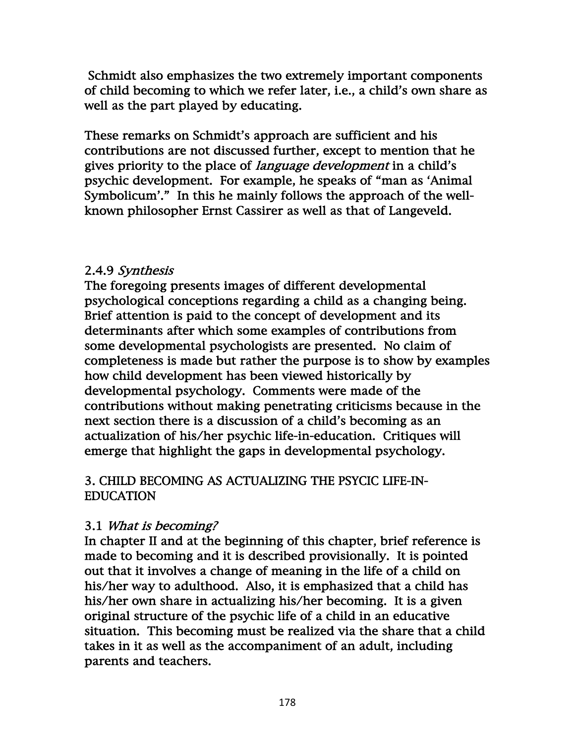Schmidt also emphasizes the two extremely important components of child becoming to which we refer later, i.e., a child's own share as well as the part played by educating.

These remarks on Schmidt's approach are sufficient and his contributions are not discussed further, except to mention that he gives priority to the place of *language development* in a child's psychic development. For example, he speaks of "man as 'Animal Symbolicum'." In this he mainly follows the approach of the wellknown philosopher Ernst Cassirer as well as that of Langeveld.

## 2.4.9 Synthesis

The foregoing presents images of different developmental psychological conceptions regarding a child as a changing being. Brief attention is paid to the concept of development and its determinants after which some examples of contributions from some developmental psychologists are presented. No claim of completeness is made but rather the purpose is to show by examples how child development has been viewed historically by developmental psychology. Comments were made of the contributions without making penetrating criticisms because in the next section there is a discussion of a child's becoming as an actualization of his/her psychic life-in-education. Critiques will emerge that highlight the gaps in developmental psychology.

# 3. CHILD BECOMING AS ACTUALIZING THE PSYCIC LIFE-IN-EDUCATION

# 3.1 What is becoming?

In chapter II and at the beginning of this chapter, brief reference is made to becoming and it is described provisionally. It is pointed out that it involves a change of meaning in the life of a child on his/her way to adulthood. Also, it is emphasized that a child has his/her own share in actualizing his/her becoming. It is a given original structure of the psychic life of a child in an educative situation. This becoming must be realized via the share that a child takes in it as well as the accompaniment of an adult, including parents and teachers.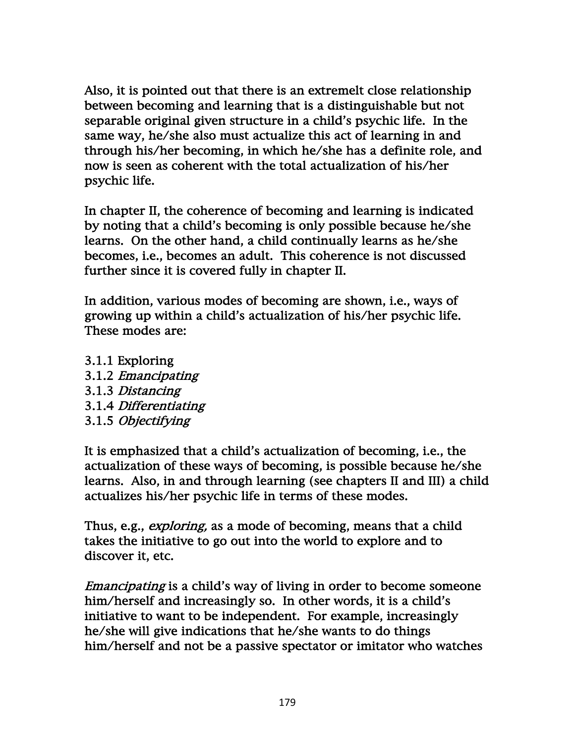Also, it is pointed out that there is an extremelt close relationship between becoming and learning that is a distinguishable but not separable original given structure in a child's psychic life. In the same way, he/she also must actualize this act of learning in and through his/her becoming, in which he/she has a definite role, and now is seen as coherent with the total actualization of his/her psychic life.

In chapter II, the coherence of becoming and learning is indicated by noting that a child's becoming is only possible because he/she learns. On the other hand, a child continually learns as he/she becomes, i.e., becomes an adult. This coherence is not discussed further since it is covered fully in chapter II.

In addition, various modes of becoming are shown, i.e., ways of growing up within a child's actualization of his/her psychic life. These modes are:

3.1.1 Exploring 3.1.2 Emancipating 3.1.3 Distancing 3.1.4 Differentiating 3.1.5 Objectifying

It is emphasized that a child's actualization of becoming, i.e., the actualization of these ways of becoming, is possible because he/she learns. Also, in and through learning (see chapters II and III) a child actualizes his/her psychic life in terms of these modes.

Thus, e.g., *exploring*, as a mode of becoming, means that a child takes the initiative to go out into the world to explore and to discover it, etc.

Emancipating is a child's way of living in order to become someone him/herself and increasingly so. In other words, it is a child's initiative to want to be independent. For example, increasingly he/she will give indications that he/she wants to do things him/herself and not be a passive spectator or imitator who watches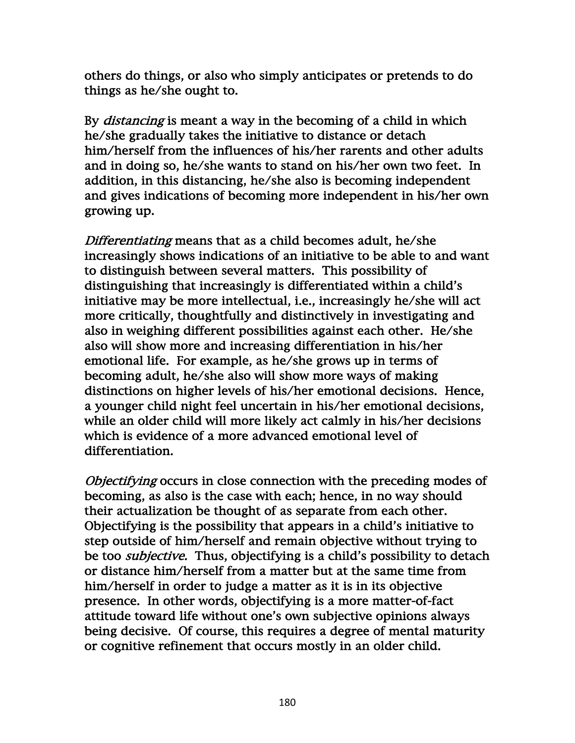others do things, or also who simply anticipates or pretends to do things as he/she ought to.

By *distancing* is meant a way in the becoming of a child in which he/she gradually takes the initiative to distance or detach him/herself from the influences of his/her rarents and other adults and in doing so, he/she wants to stand on his/her own two feet. In addition, in this distancing, he/she also is becoming independent and gives indications of becoming more independent in his/her own growing up.

Differentiating means that as a child becomes adult, he/she increasingly shows indications of an initiative to be able to and want to distinguish between several matters. This possibility of distinguishing that increasingly is differentiated within a child's initiative may be more intellectual, i.e., increasingly he/she will act more critically, thoughtfully and distinctively in investigating and also in weighing different possibilities against each other. He/she also will show more and increasing differentiation in his/her emotional life. For example, as he/she grows up in terms of becoming adult, he/she also will show more ways of making distinctions on higher levels of his/her emotional decisions. Hence, a younger child night feel uncertain in his/her emotional decisions, while an older child will more likely act calmly in his/her decisions which is evidence of a more advanced emotional level of differentiation.

Objectifying occurs in close connection with the preceding modes of becoming, as also is the case with each; hence, in no way should their actualization be thought of as separate from each other. Objectifying is the possibility that appears in a child's initiative to step outside of him/herself and remain objective without trying to be too *subjective*. Thus, objectifying is a child's possibility to detach or distance him/herself from a matter but at the same time from him/herself in order to judge a matter as it is in its objective presence. In other words, objectifying is a more matter-of-fact attitude toward life without one's own subjective opinions always being decisive. Of course, this requires a degree of mental maturity or cognitive refinement that occurs mostly in an older child.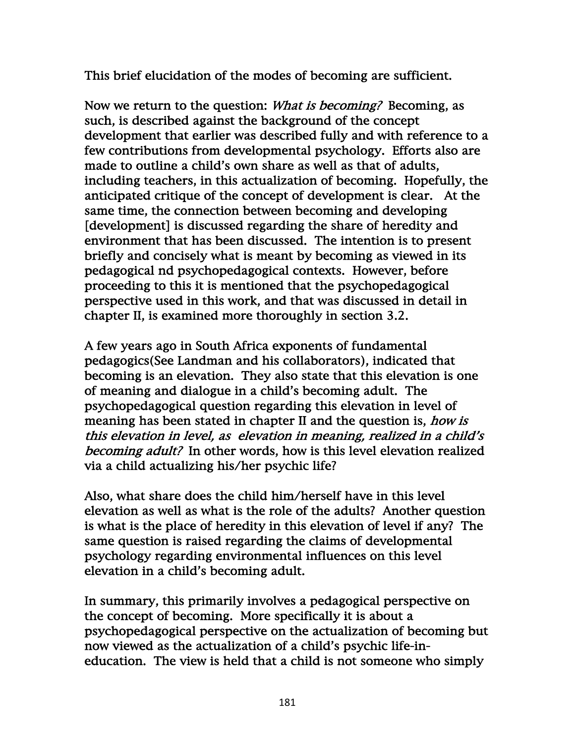This brief elucidation of the modes of becoming are sufficient.

Now we return to the question: *What is becoming*? Becoming, as such, is described against the background of the concept development that earlier was described fully and with reference to a few contributions from developmental psychology. Efforts also are made to outline a child's own share as well as that of adults, including teachers, in this actualization of becoming. Hopefully, the anticipated critique of the concept of development is clear. At the same time, the connection between becoming and developing [development] is discussed regarding the share of heredity and environment that has been discussed. The intention is to present briefly and concisely what is meant by becoming as viewed in its pedagogical nd psychopedagogical contexts. However, before proceeding to this it is mentioned that the psychopedagogical perspective used in this work, and that was discussed in detail in chapter II, is examined more thoroughly in section 3.2.

A few years ago in South Africa exponents of fundamental pedagogics(See Landman and his collaborators), indicated that becoming is an elevation. They also state that this elevation is one of meaning and dialogue in a child's becoming adult. The psychopedagogical question regarding this elevation in level of meaning has been stated in chapter II and the question is, *how is* this elevation in level, as elevation in meaning, realized in a child's becoming adult? In other words, how is this level elevation realized via a child actualizing his/her psychic life?

Also, what share does the child him/herself have in this level elevation as well as what is the role of the adults? Another question is what is the place of heredity in this elevation of level if any? The same question is raised regarding the claims of developmental psychology regarding environmental influences on this level elevation in a child's becoming adult.

In summary, this primarily involves a pedagogical perspective on the concept of becoming. More specifically it is about a psychopedagogical perspective on the actualization of becoming but now viewed as the actualization of a child's psychic life-ineducation. The view is held that a child is not someone who simply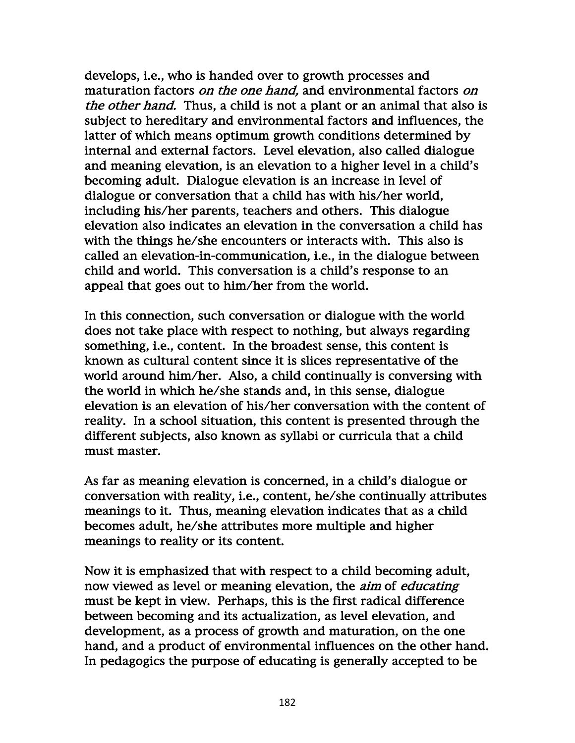develops, i.e., who is handed over to growth processes and maturation factors on the one hand, and environmental factors on the other hand. Thus, a child is not a plant or an animal that also is subject to hereditary and environmental factors and influences, the latter of which means optimum growth conditions determined by internal and external factors. Level elevation, also called dialogue and meaning elevation, is an elevation to a higher level in a child's becoming adult. Dialogue elevation is an increase in level of dialogue or conversation that a child has with his/her world, including his/her parents, teachers and others. This dialogue elevation also indicates an elevation in the conversation a child has with the things he/she encounters or interacts with. This also is called an elevation-in-communication, i.e., in the dialogue between child and world. This conversation is a child's response to an appeal that goes out to him/her from the world.

In this connection, such conversation or dialogue with the world does not take place with respect to nothing, but always regarding something, i.e., content. In the broadest sense, this content is known as cultural content since it is slices representative of the world around him/her. Also, a child continually is conversing with the world in which he/she stands and, in this sense, dialogue elevation is an elevation of his/her conversation with the content of reality. In a school situation, this content is presented through the different subjects, also known as syllabi or curricula that a child must master.

As far as meaning elevation is concerned, in a child's dialogue or conversation with reality, i.e., content, he/she continually attributes meanings to it. Thus, meaning elevation indicates that as a child becomes adult, he/she attributes more multiple and higher meanings to reality or its content.

Now it is emphasized that with respect to a child becoming adult, now viewed as level or meaning elevation, the *aim* of *educating* must be kept in view. Perhaps, this is the first radical difference between becoming and its actualization, as level elevation, and development, as a process of growth and maturation, on the one hand, and a product of environmental influences on the other hand. In pedagogics the purpose of educating is generally accepted to be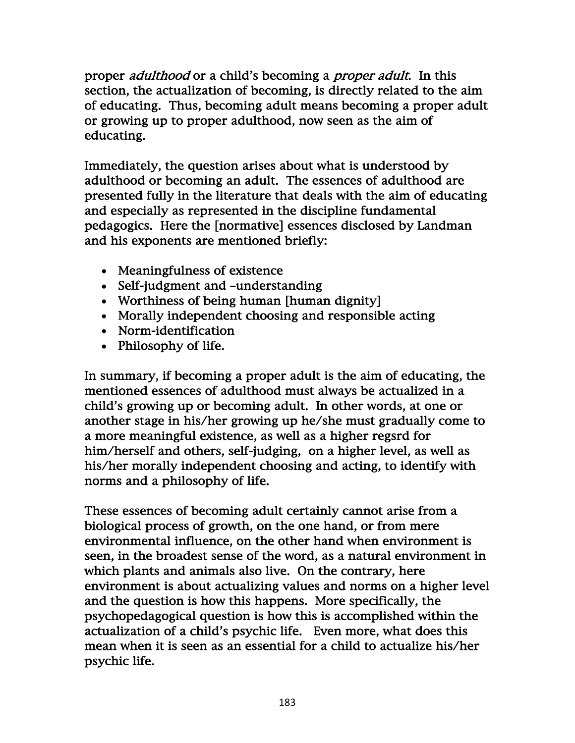proper *adulthood* or a child's becoming a *proper adult*. In this section, the actualization of becoming, is directly related to the aim of educating. Thus, becoming adult means becoming a proper adult or growing up to proper adulthood, now seen as the aim of educating.

Immediately, the question arises about what is understood by adulthood or becoming an adult. The essences of adulthood are presented fully in the literature that deals with the aim of educating and especially as represented in the discipline fundamental pedagogics. Here the [normative] essences disclosed by Landman and his exponents are mentioned briefly:

- Meaningfulness of existence
- Self-judgment and –understanding
- Worthiness of being human [human dignity]
- Morally independent choosing and responsible acting
- Norm-identification
- Philosophy of life.

In summary, if becoming a proper adult is the aim of educating, the mentioned essences of adulthood must always be actualized in a child's growing up or becoming adult. In other words, at one or another stage in his/her growing up he/she must gradually come to a more meaningful existence, as well as a higher regsrd for him/herself and others, self-judging, on a higher level, as well as his/her morally independent choosing and acting, to identify with norms and a philosophy of life.

These essences of becoming adult certainly cannot arise from a biological process of growth, on the one hand, or from mere environmental influence, on the other hand when environment is seen, in the broadest sense of the word, as a natural environment in which plants and animals also live. On the contrary, here environment is about actualizing values and norms on a higher level and the question is how this happens. More specifically, the psychopedagogical question is how this is accomplished within the actualization of a child's psychic life. Even more, what does this mean when it is seen as an essential for a child to actualize his/her psychic life.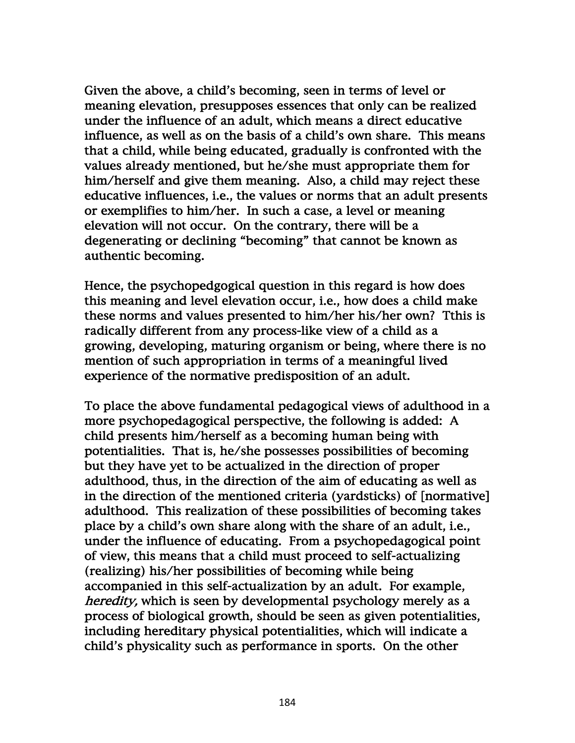Given the above, a child's becoming, seen in terms of level or meaning elevation, presupposes essences that only can be realized under the influence of an adult, which means a direct educative influence, as well as on the basis of a child's own share. This means that a child, while being educated, gradually is confronted with the values already mentioned, but he/she must appropriate them for him/herself and give them meaning. Also, a child may reject these educative influences, i.e., the values or norms that an adult presents or exemplifies to him/her. In such a case, a level or meaning elevation will not occur. On the contrary, there will be a degenerating or declining "becoming" that cannot be known as authentic becoming.

Hence, the psychopedgogical question in this regard is how does this meaning and level elevation occur, i.e., how does a child make these norms and values presented to him/her his/her own? Tthis is radically different from any process-like view of a child as a growing, developing, maturing organism or being, where there is no mention of such appropriation in terms of a meaningful lived experience of the normative predisposition of an adult.

To place the above fundamental pedagogical views of adulthood in a more psychopedagogical perspective, the following is added: A child presents him/herself as a becoming human being with potentialities. That is, he/she possesses possibilities of becoming but they have yet to be actualized in the direction of proper adulthood, thus, in the direction of the aim of educating as well as in the direction of the mentioned criteria (yardsticks) of [normative] adulthood. This realization of these possibilities of becoming takes place by a child's own share along with the share of an adult, i.e., under the influence of educating. From a psychopedagogical point of view, this means that a child must proceed to self-actualizing (realizing) his/her possibilities of becoming while being accompanied in this self-actualization by an adult. For example, heredity, which is seen by developmental psychology merely as a process of biological growth, should be seen as given potentialities, including hereditary physical potentialities, which will indicate a child's physicality such as performance in sports. On the other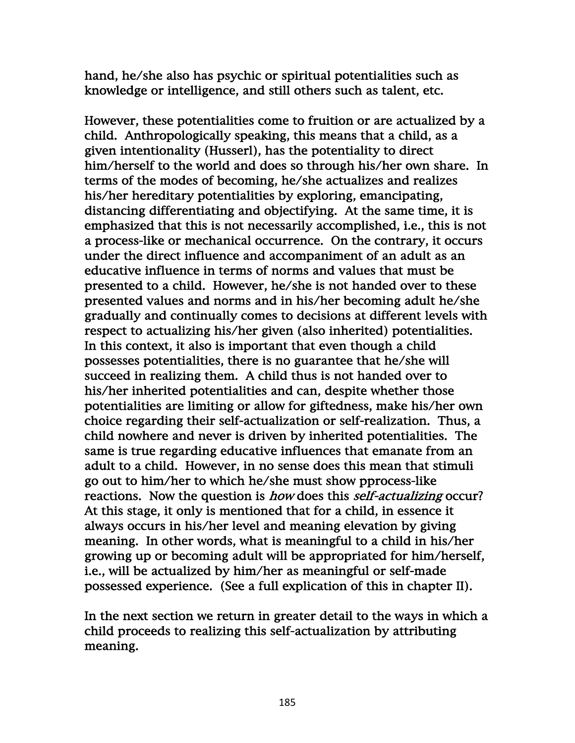hand, he/she also has psychic or spiritual potentialities such as knowledge or intelligence, and still others such as talent, etc.

However, these potentialities come to fruition or are actualized by a child. Anthropologically speaking, this means that a child, as a given intentionality (Husserl), has the potentiality to direct him/herself to the world and does so through his/her own share. In terms of the modes of becoming, he/she actualizes and realizes his/her hereditary potentialities by exploring, emancipating, distancing differentiating and objectifying. At the same time, it is emphasized that this is not necessarily accomplished, i.e., this is not a process-like or mechanical occurrence. On the contrary, it occurs under the direct influence and accompaniment of an adult as an educative influence in terms of norms and values that must be presented to a child. However, he/she is not handed over to these presented values and norms and in his/her becoming adult he/she gradually and continually comes to decisions at different levels with respect to actualizing his/her given (also inherited) potentialities. In this context, it also is important that even though a child possesses potentialities, there is no guarantee that he/she will succeed in realizing them. A child thus is not handed over to his/her inherited potentialities and can, despite whether those potentialities are limiting or allow for giftedness, make his/her own choice regarding their self-actualization or self-realization. Thus, a child nowhere and never is driven by inherited potentialities. The same is true regarding educative influences that emanate from an adult to a child. However, in no sense does this mean that stimuli go out to him/her to which he/she must show pprocess-like reactions. Now the question is *how* does this *self-actualizing* occur? At this stage, it only is mentioned that for a child, in essence it always occurs in his/her level and meaning elevation by giving meaning. In other words, what is meaningful to a child in his/her growing up or becoming adult will be appropriated for him/herself, i.e., will be actualized by him/her as meaningful or self-made possessed experience. (See a full explication of this in chapter II).

In the next section we return in greater detail to the ways in which a child proceeds to realizing this self-actualization by attributing meaning.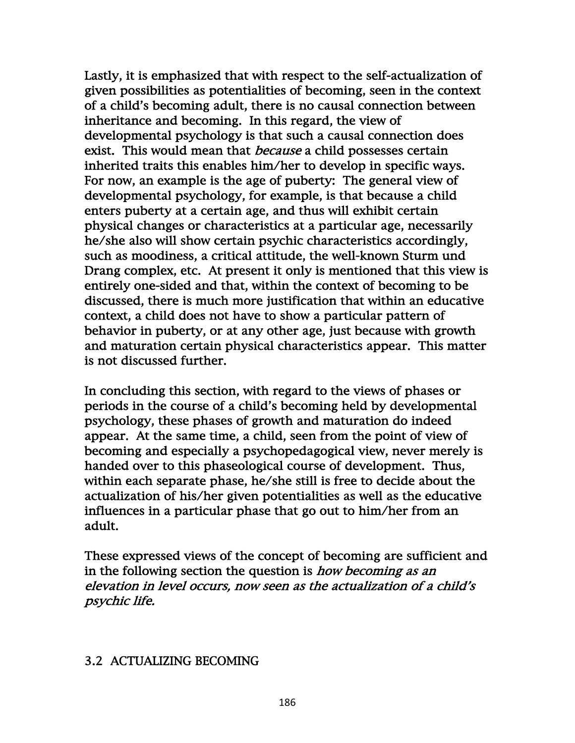Lastly, it is emphasized that with respect to the self-actualization of given possibilities as potentialities of becoming, seen in the context of a child's becoming adult, there is no causal connection between inheritance and becoming. In this regard, the view of developmental psychology is that such a causal connection does exist. This would mean that *because* a child possesses certain inherited traits this enables him/her to develop in specific ways. For now, an example is the age of puberty: The general view of developmental psychology, for example, is that because a child enters puberty at a certain age, and thus will exhibit certain physical changes or characteristics at a particular age, necessarily he/she also will show certain psychic characteristics accordingly, such as moodiness, a critical attitude, the well-known Sturm und Drang complex, etc. At present it only is mentioned that this view is entirely one-sided and that, within the context of becoming to be discussed, there is much more justification that within an educative context, a child does not have to show a particular pattern of behavior in puberty, or at any other age, just because with growth and maturation certain physical characteristics appear. This matter is not discussed further.

In concluding this section, with regard to the views of phases or periods in the course of a child's becoming held by developmental psychology, these phases of growth and maturation do indeed appear. At the same time, a child, seen from the point of view of becoming and especially a psychopedagogical view, never merely is handed over to this phaseological course of development. Thus, within each separate phase, he/she still is free to decide about the actualization of his/her given potentialities as well as the educative influences in a particular phase that go out to him/her from an adult.

These expressed views of the concept of becoming are sufficient and in the following section the question is *how becoming as an* elevation in level occurs, now seen as the actualization of a child's psychic life.

### 3.2 ACTUALIZING BECOMING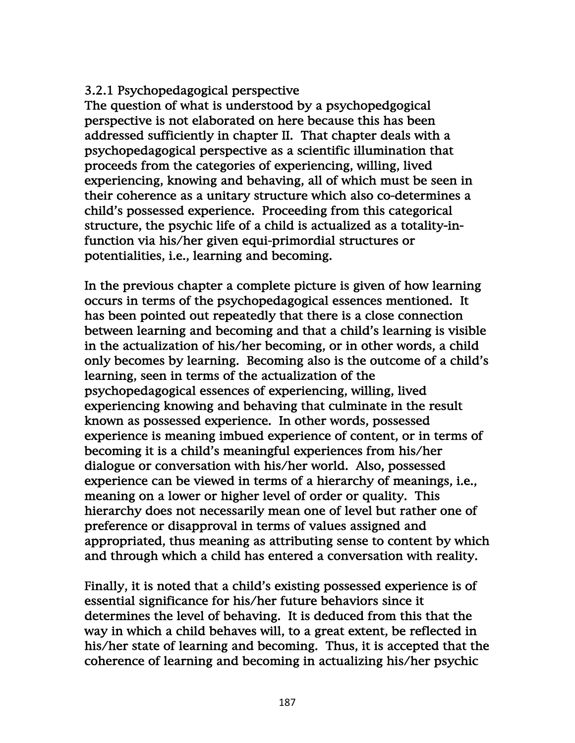## 3.2.1 Psychopedagogical perspective

The question of what is understood by a psychopedgogical perspective is not elaborated on here because this has been addressed sufficiently in chapter II. That chapter deals with a psychopedagogical perspective as a scientific illumination that proceeds from the categories of experiencing, willing, lived experiencing, knowing and behaving, all of which must be seen in their coherence as a unitary structure which also co-determines a child's possessed experience. Proceeding from this categorical structure, the psychic life of a child is actualized as a totality-infunction via his/her given equi-primordial structures or potentialities, i.e., learning and becoming.

In the previous chapter a complete picture is given of how learning occurs in terms of the psychopedagogical essences mentioned. It has been pointed out repeatedly that there is a close connection between learning and becoming and that a child's learning is visible in the actualization of his/her becoming, or in other words, a child only becomes by learning. Becoming also is the outcome of a child's learning, seen in terms of the actualization of the psychopedagogical essences of experiencing, willing, lived experiencing knowing and behaving that culminate in the result known as possessed experience. In other words, possessed experience is meaning imbued experience of content, or in terms of becoming it is a child's meaningful experiences from his/her dialogue or conversation with his/her world. Also, possessed experience can be viewed in terms of a hierarchy of meanings, i.e., meaning on a lower or higher level of order or quality. This hierarchy does not necessarily mean one of level but rather one of preference or disapproval in terms of values assigned and appropriated, thus meaning as attributing sense to content by which and through which a child has entered a conversation with reality.

Finally, it is noted that a child's existing possessed experience is of essential significance for his/her future behaviors since it determines the level of behaving. It is deduced from this that the way in which a child behaves will, to a great extent, be reflected in his/her state of learning and becoming. Thus, it is accepted that the coherence of learning and becoming in actualizing his/her psychic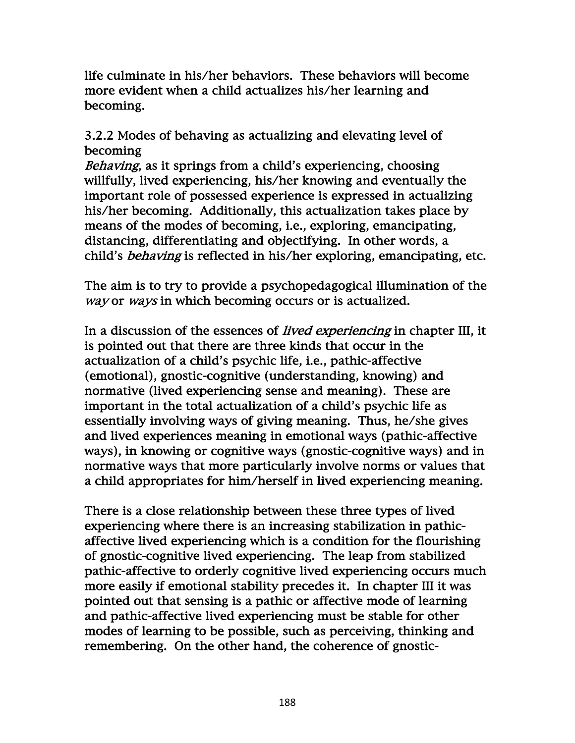life culminate in his/her behaviors. These behaviors will become more evident when a child actualizes his/her learning and becoming.

3.2.2 Modes of behaving as actualizing and elevating level of becoming

Behaving, as it springs from a child's experiencing, choosing willfully, lived experiencing, his/her knowing and eventually the important role of possessed experience is expressed in actualizing his/her becoming. Additionally, this actualization takes place by means of the modes of becoming, i.e., exploring, emancipating, distancing, differentiating and objectifying. In other words, a child's behaving is reflected in his/her exploring, emancipating, etc.

The aim is to try to provide a psychopedagogical illumination of the way or ways in which becoming occurs or is actualized.

In a discussion of the essences of *lived experiencing* in chapter III, it is pointed out that there are three kinds that occur in the actualization of a child's psychic life, i.e., pathic-affective (emotional), gnostic-cognitive (understanding, knowing) and normative (lived experiencing sense and meaning). These are important in the total actualization of a child's psychic life as essentially involving ways of giving meaning. Thus, he/she gives and lived experiences meaning in emotional ways (pathic-affective ways), in knowing or cognitive ways (gnostic-cognitive ways) and in normative ways that more particularly involve norms or values that a child appropriates for him/herself in lived experiencing meaning.

There is a close relationship between these three types of lived experiencing where there is an increasing stabilization in pathicaffective lived experiencing which is a condition for the flourishing of gnostic-cognitive lived experiencing. The leap from stabilized pathic-affective to orderly cognitive lived experiencing occurs much more easily if emotional stability precedes it. In chapter III it was pointed out that sensing is a pathic or affective mode of learning and pathic-affective lived experiencing must be stable for other modes of learning to be possible, such as perceiving, thinking and remembering. On the other hand, the coherence of gnostic-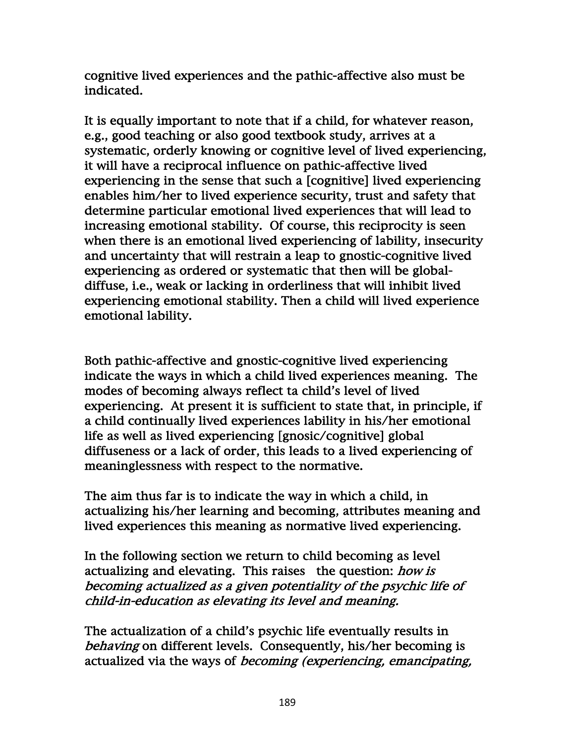cognitive lived experiences and the pathic-affective also must be indicated.

It is equally important to note that if a child, for whatever reason, e.g., good teaching or also good textbook study, arrives at a systematic, orderly knowing or cognitive level of lived experiencing, it will have a reciprocal influence on pathic-affective lived experiencing in the sense that such a [cognitive] lived experiencing enables him/her to lived experience security, trust and safety that determine particular emotional lived experiences that will lead to increasing emotional stability. Of course, this reciprocity is seen when there is an emotional lived experiencing of lability, insecurity and uncertainty that will restrain a leap to gnostic-cognitive lived experiencing as ordered or systematic that then will be globaldiffuse, i.e., weak or lacking in orderliness that will inhibit lived experiencing emotional stability. Then a child will lived experience emotional lability.

Both pathic-affective and gnostic-cognitive lived experiencing indicate the ways in which a child lived experiences meaning. The modes of becoming always reflect ta child's level of lived experiencing. At present it is sufficient to state that, in principle, if a child continually lived experiences lability in his/her emotional life as well as lived experiencing [gnosic/cognitive] global diffuseness or a lack of order, this leads to a lived experiencing of meaninglessness with respect to the normative.

The aim thus far is to indicate the way in which a child, in actualizing his/her learning and becoming, attributes meaning and lived experiences this meaning as normative lived experiencing.

In the following section we return to child becoming as level actualizing and elevating. This raises the question: how is becoming actualized as a given potentiality of the psychic life of child-in-education as elevating its level and meaning.

The actualization of a child's psychic life eventually results in behaving on different levels. Consequently, his/her becoming is actualized via the ways of becoming (experiencing, emancipating,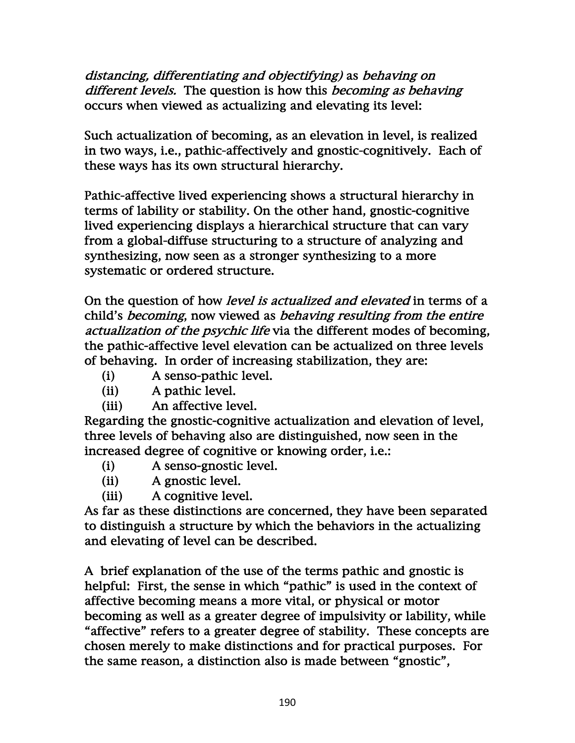distancing, differentiating and objectifying) as behaving on different levels. The question is how this becoming as behaving occurs when viewed as actualizing and elevating its level:

Such actualization of becoming, as an elevation in level, is realized in two ways, i.e., pathic-affectively and gnostic-cognitively. Each of these ways has its own structural hierarchy.

Pathic-affective lived experiencing shows a structural hierarchy in terms of lability or stability. On the other hand, gnostic-cognitive lived experiencing displays a hierarchical structure that can vary from a global-diffuse structuring to a structure of analyzing and synthesizing, now seen as a stronger synthesizing to a more systematic or ordered structure.

On the question of how *level is actualized and elevated* in terms of a child's becoming, now viewed as behaving resulting from the entire actualization of the psychic life via the different modes of becoming, the pathic-affective level elevation can be actualized on three levels of behaving. In order of increasing stabilization, they are:

- (i) A senso-pathic level.
- (ii) A pathic level.
- (iii) An affective level.

Regarding the gnostic-cognitive actualization and elevation of level, three levels of behaving also are distinguished, now seen in the increased degree of cognitive or knowing order, i.e.:

- (i) A senso-gnostic level.
- (ii) A gnostic level.
- (iii) A cognitive level.

As far as these distinctions are concerned, they have been separated to distinguish a structure by which the behaviors in the actualizing and elevating of level can be described.

A brief explanation of the use of the terms pathic and gnostic is helpful: First, the sense in which "pathic" is used in the context of affective becoming means a more vital, or physical or motor becoming as well as a greater degree of impulsivity or lability, while "affective" refers to a greater degree of stability. These concepts are chosen merely to make distinctions and for practical purposes. For the same reason, a distinction also is made between "gnostic",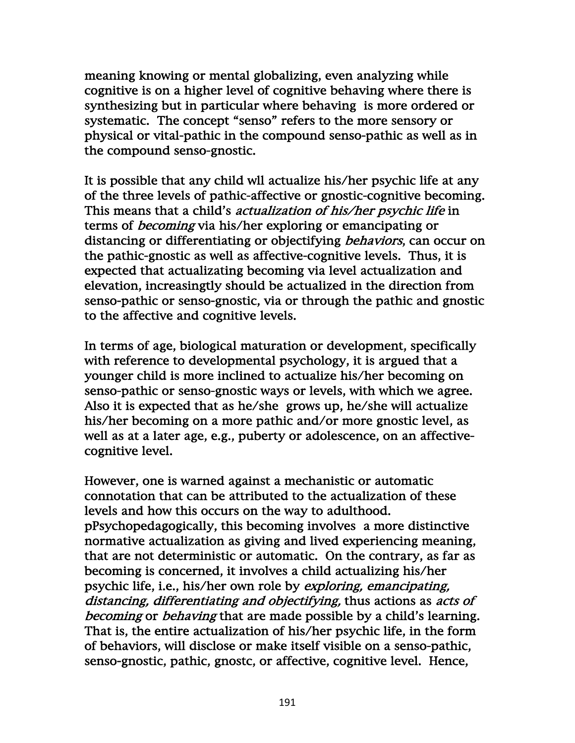meaning knowing or mental globalizing, even analyzing while cognitive is on a higher level of cognitive behaving where there is synthesizing but in particular where behaving is more ordered or systematic. The concept "senso" refers to the more sensory or physical or vital-pathic in the compound senso-pathic as well as in the compound senso-gnostic.

It is possible that any child wll actualize his/her psychic life at any of the three levels of pathic-affective or gnostic-cognitive becoming. This means that a child's *actualization of his/her psychic life* in terms of becoming via his/her exploring or emancipating or distancing or differentiating or objectifying *behaviors*, can occur on the pathic-gnostic as well as affective-cognitive levels. Thus, it is expected that actualizating becoming via level actualization and elevation, increasingtly should be actualized in the direction from senso-pathic or senso-gnostic, via or through the pathic and gnostic to the affective and cognitive levels.

In terms of age, biological maturation or development, specifically with reference to developmental psychology, it is argued that a younger child is more inclined to actualize his/her becoming on senso-pathic or senso-gnostic ways or levels, with which we agree. Also it is expected that as he/she grows up, he/she will actualize his/her becoming on a more pathic and/or more gnostic level, as well as at a later age, e.g., puberty or adolescence, on an affectivecognitive level.

However, one is warned against a mechanistic or automatic connotation that can be attributed to the actualization of these levels and how this occurs on the way to adulthood. pPsychopedagogically, this becoming involves a more distinctive normative actualization as giving and lived experiencing meaning, that are not deterministic or automatic. On the contrary, as far as becoming is concerned, it involves a child actualizing his/her psychic life, i.e., his/her own role by exploring, emancipating, distancing, differentiating and objectifying, thus actions as acts of becoming or behaving that are made possible by a child's learning. That is, the entire actualization of his/her psychic life, in the form of behaviors, will disclose or make itself visible on a senso-pathic, senso-gnostic, pathic, gnostc, or affective, cognitive level. Hence,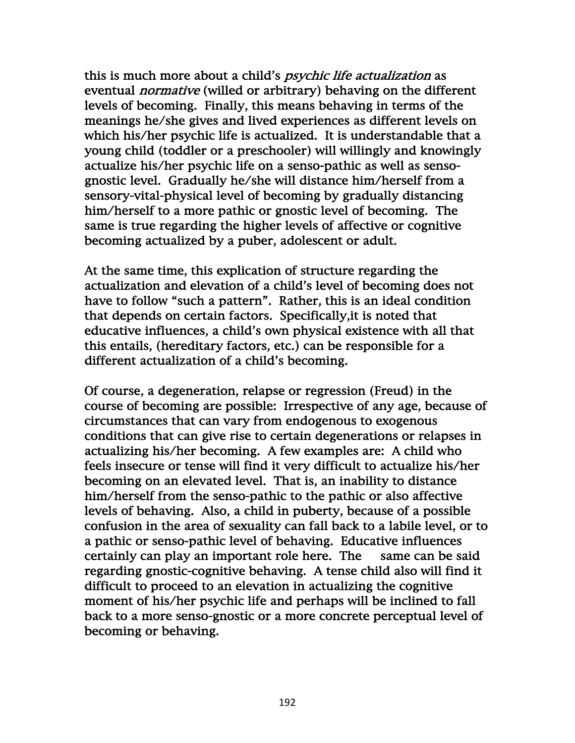this is much more about a child's *psychic life actualization* as eventual *normative* (willed or arbitrary) behaving on the different levels of becoming. Finally, this means behaving in terms of the meanings he/she gives and lived experiences as different levels on which his/her psychic life is actualized. It is understandable that a young child (toddler or a preschooler) will willingly and knowingly actualize his/her psychic life on a senso-pathic as well as sensognostic level. Gradually he/she will distance him/herself from a sensory-vital-physical level of becoming by gradually distancing him/herself to a more pathic or gnostic level of becoming. The same is true regarding the higher levels of affective or cognitive becoming actualized by a puber, adolescent or adult.

At the same time, this explication of structure regarding the actualization and elevation of a child's level of becoming does not have to follow "such a pattern". Rather, this is an ideal condition that depends on certain factors. Specifically,it is noted that educative influences, a child's own physical existence with all that this entails, (hereditary factors, etc.) can be responsible for a different actualization of a child's becoming.

Of course, a degeneration, relapse or regression (Freud) in the course of becoming are possible: Irrespective of any age, because of circumstances that can vary from endogenous to exogenous conditions that can give rise to certain degenerations or relapses in actualizing his/her becoming. A few examples are: A child who feels insecure or tense will find it very difficult to actualize his/her becoming on an elevated level. That is, an inability to distance him/herself from the senso-pathic to the pathic or also affective levels of behaving. Also, a child in puberty, because of a possible confusion in the area of sexuality can fall back to a labile level, or to a pathic or senso-pathic level of behaving. Educative influences certainly can play an important role here. The same can be said regarding gnostic-cognitive behaving. A tense child also will find it difficult to proceed to an elevation in actualizing the cognitive moment of his/her psychic life and perhaps will be inclined to fall back to a more senso-gnostic or a more concrete perceptual level of becoming or behaving.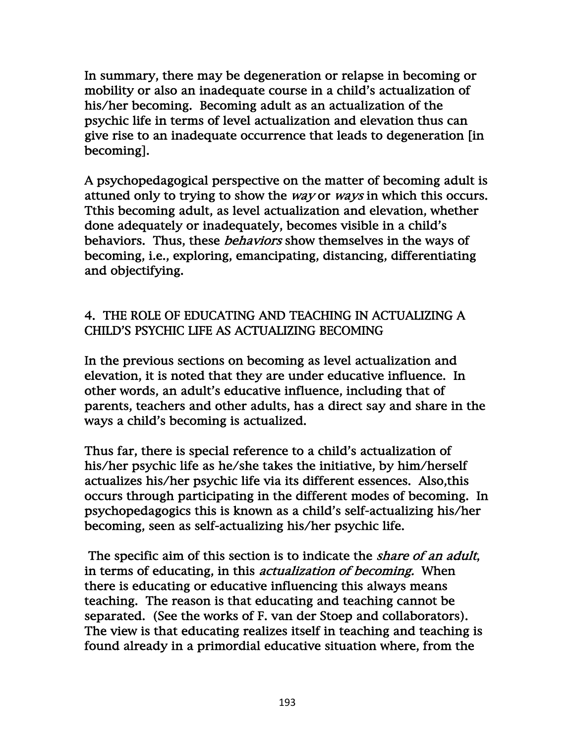In summary, there may be degeneration or relapse in becoming or mobility or also an inadequate course in a child's actualization of his/her becoming. Becoming adult as an actualization of the psychic life in terms of level actualization and elevation thus can give rise to an inadequate occurrence that leads to degeneration [in becoming].

A psychopedagogical perspective on the matter of becoming adult is attuned only to trying to show the *way* or *ways* in which this occurs. Tthis becoming adult, as level actualization and elevation, whether done adequately or inadequately, becomes visible in a child's behaviors. Thus, these *behaviors* show themselves in the ways of becoming, i.e., exploring, emancipating, distancing, differentiating and objectifying.

# 4. THE ROLE OF EDUCATING AND TEACHING IN ACTUALIZING A CHILD'S PSYCHIC LIFE AS ACTUALIZING BECOMING

In the previous sections on becoming as level actualization and elevation, it is noted that they are under educative influence. In other words, an adult's educative influence, including that of parents, teachers and other adults, has a direct say and share in the ways a child's becoming is actualized.

Thus far, there is special reference to a child's actualization of his/her psychic life as he/she takes the initiative, by him/herself actualizes his/her psychic life via its different essences. Also,this occurs through participating in the different modes of becoming. In psychopedagogics this is known as a child's self-actualizing his/her becoming, seen as self-actualizing his/her psychic life.

The specific aim of this section is to indicate the *share of an adult*, in terms of educating, in this *actualization of becoming*. When there is educating or educative influencing this always means teaching. The reason is that educating and teaching cannot be separated. (See the works of F. van der Stoep and collaborators). The view is that educating realizes itself in teaching and teaching is found already in a primordial educative situation where, from the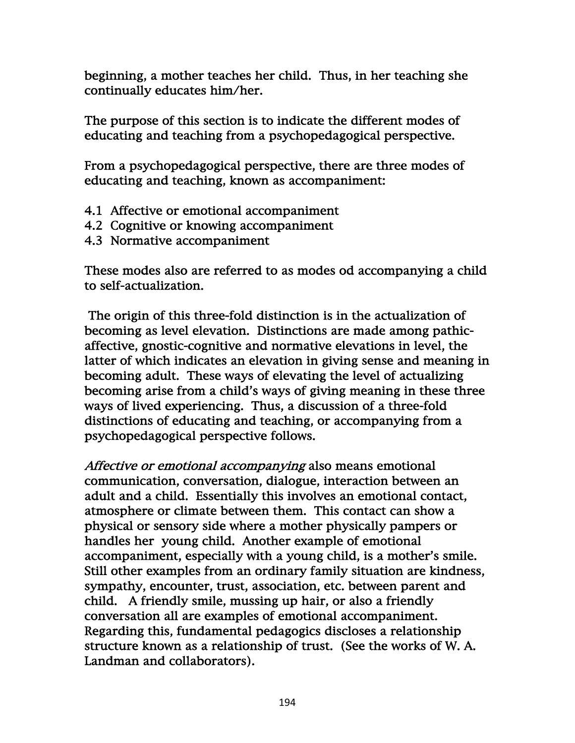beginning, a mother teaches her child. Thus, in her teaching she continually educates him/her.

The purpose of this section is to indicate the different modes of educating and teaching from a psychopedagogical perspective.

From a psychopedagogical perspective, there are three modes of educating and teaching, known as accompaniment:

- 4.1 Affective or emotional accompaniment
- 4.2 Cognitive or knowing accompaniment
- 4.3 Normative accompaniment

These modes also are referred to as modes od accompanying a child to self-actualization.

 The origin of this three-fold distinction is in the actualization of becoming as level elevation. Distinctions are made among pathicaffective, gnostic-cognitive and normative elevations in level, the latter of which indicates an elevation in giving sense and meaning in becoming adult. These ways of elevating the level of actualizing becoming arise from a child's ways of giving meaning in these three ways of lived experiencing. Thus, a discussion of a three-fold distinctions of educating and teaching, or accompanying from a psychopedagogical perspective follows.

Affective or emotional accompanying also means emotional communication, conversation, dialogue, interaction between an adult and a child. Essentially this involves an emotional contact, atmosphere or climate between them. This contact can show a physical or sensory side where a mother physically pampers or handles her young child. Another example of emotional accompaniment, especially with a young child, is a mother's smile. Still other examples from an ordinary family situation are kindness, sympathy, encounter, trust, association, etc. between parent and child. A friendly smile, mussing up hair, or also a friendly conversation all are examples of emotional accompaniment. Regarding this, fundamental pedagogics discloses a relationship structure known as a relationship of trust. (See the works of W. A. Landman and collaborators).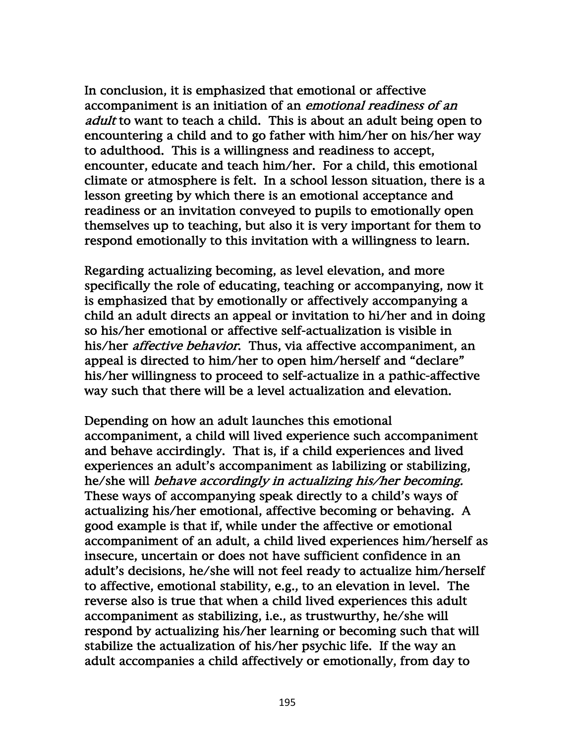In conclusion, it is emphasized that emotional or affective accompaniment is an initiation of an *emotional readiness of an* adult to want to teach a child. This is about an adult being open to encountering a child and to go father with him/her on his/her way to adulthood. This is a willingness and readiness to accept, encounter, educate and teach him/her. For a child, this emotional climate or atmosphere is felt. In a school lesson situation, there is a lesson greeting by which there is an emotional acceptance and readiness or an invitation conveyed to pupils to emotionally open themselves up to teaching, but also it is very important for them to respond emotionally to this invitation with a willingness to learn.

Regarding actualizing becoming, as level elevation, and more specifically the role of educating, teaching or accompanying, now it is emphasized that by emotionally or affectively accompanying a child an adult directs an appeal or invitation to hi/her and in doing so his/her emotional or affective self-actualization is visible in his/her *affective behavior*. Thus, via affective accompaniment, an appeal is directed to him/her to open him/herself and "declare" his/her willingness to proceed to self-actualize in a pathic-affective way such that there will be a level actualization and elevation.

Depending on how an adult launches this emotional accompaniment, a child will lived experience such accompaniment and behave accirdingly. That is, if a child experiences and lived experiences an adult's accompaniment as labilizing or stabilizing, he/she will behave accordingly in actualizing his/her becoming. These ways of accompanying speak directly to a child's ways of actualizing his/her emotional, affective becoming or behaving. A good example is that if, while under the affective or emotional accompaniment of an adult, a child lived experiences him/herself as insecure, uncertain or does not have sufficient confidence in an adult's decisions, he/she will not feel ready to actualize him/herself to affective, emotional stability, e.g., to an elevation in level. The reverse also is true that when a child lived experiences this adult accompaniment as stabilizing, i.e., as trustwurthy, he/she will respond by actualizing his/her learning or becoming such that will stabilize the actualization of his/her psychic life. If the way an adult accompanies a child affectively or emotionally, from day to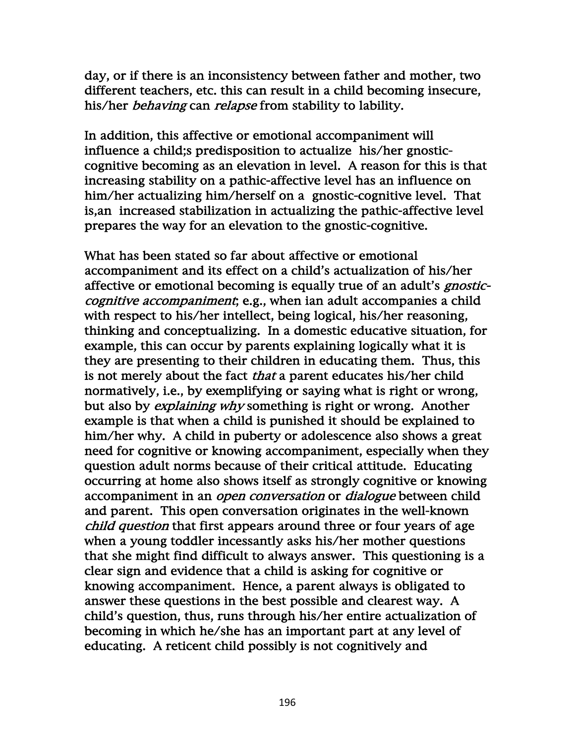day, or if there is an inconsistency between father and mother, two different teachers, etc. this can result in a child becoming insecure, his/her *behaving* can *relapse* from stability to lability.

In addition, this affective or emotional accompaniment will influence a child;s predisposition to actualize his/her gnosticcognitive becoming as an elevation in level. A reason for this is that increasing stability on a pathic-affective level has an influence on him/her actualizing him/herself on a gnostic-cognitive level. That is,an increased stabilization in actualizing the pathic-affective level prepares the way for an elevation to the gnostic-cognitive.

What has been stated so far about affective or emotional accompaniment and its effect on a child's actualization of his/her affective or emotional becoming is equally true of an adult's *gnostic*cognitive accompaniment; e.g., when ian adult accompanies a child with respect to his/her intellect, being logical, his/her reasoning, thinking and conceptualizing. In a domestic educative situation, for example, this can occur by parents explaining logically what it is they are presenting to their children in educating them. Thus, this is not merely about the fact *that* a parent educates his/her child normatively, i.e., by exemplifying or saying what is right or wrong, but also by explaining why something is right or wrong. Another example is that when a child is punished it should be explained to him/her why. A child in puberty or adolescence also shows a great need for cognitive or knowing accompaniment, especially when they question adult norms because of their critical attitude. Educating occurring at home also shows itself as strongly cognitive or knowing accompaniment in an *open conversation* or *dialogue* between child and parent. This open conversation originates in the well-known child question that first appears around three or four years of age when a young toddler incessantly asks his/her mother questions that she might find difficult to always answer. This questioning is a clear sign and evidence that a child is asking for cognitive or knowing accompaniment. Hence, a parent always is obligated to answer these questions in the best possible and clearest way. A child's question, thus, runs through his/her entire actualization of becoming in which he/she has an important part at any level of educating. A reticent child possibly is not cognitively and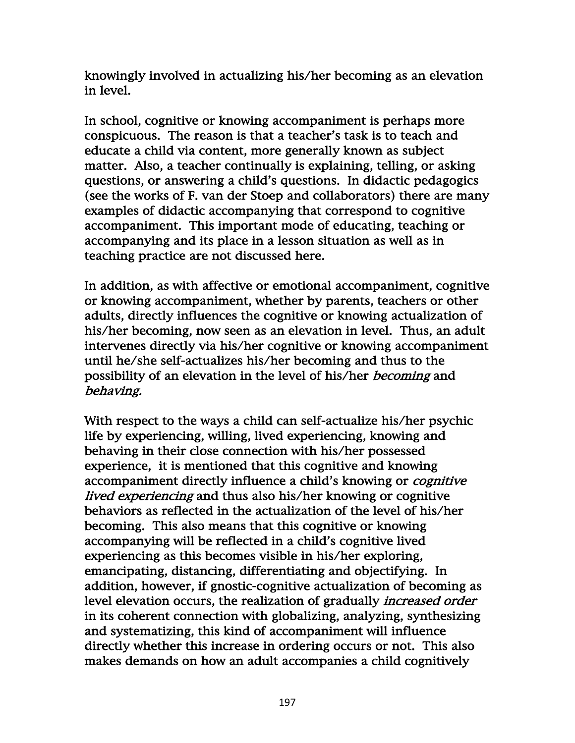knowingly involved in actualizing his/her becoming as an elevation in level.

In school, cognitive or knowing accompaniment is perhaps more conspicuous. The reason is that a teacher's task is to teach and educate a child via content, more generally known as subject matter. Also, a teacher continually is explaining, telling, or asking questions, or answering a child's questions. In didactic pedagogics (see the works of F. van der Stoep and collaborators) there are many examples of didactic accompanying that correspond to cognitive accompaniment. This important mode of educating, teaching or accompanying and its place in a lesson situation as well as in teaching practice are not discussed here.

In addition, as with affective or emotional accompaniment, cognitive or knowing accompaniment, whether by parents, teachers or other adults, directly influences the cognitive or knowing actualization of his/her becoming, now seen as an elevation in level. Thus, an adult intervenes directly via his/her cognitive or knowing accompaniment until he/she self-actualizes his/her becoming and thus to the possibility of an elevation in the level of his/her becoming and behaving.

With respect to the ways a child can self-actualize his/her psychic life by experiencing, willing, lived experiencing, knowing and behaving in their close connection with his/her possessed experience, it is mentioned that this cognitive and knowing accompaniment directly influence a child's knowing or *cognitive* lived experiencing and thus also his/her knowing or cognitive behaviors as reflected in the actualization of the level of his/her becoming. This also means that this cognitive or knowing accompanying will be reflected in a child's cognitive lived experiencing as this becomes visible in his/her exploring, emancipating, distancing, differentiating and objectifying. In addition, however, if gnostic-cognitive actualization of becoming as level elevation occurs, the realization of gradually *increased order* in its coherent connection with globalizing, analyzing, synthesizing and systematizing, this kind of accompaniment will influence directly whether this increase in ordering occurs or not. This also makes demands on how an adult accompanies a child cognitively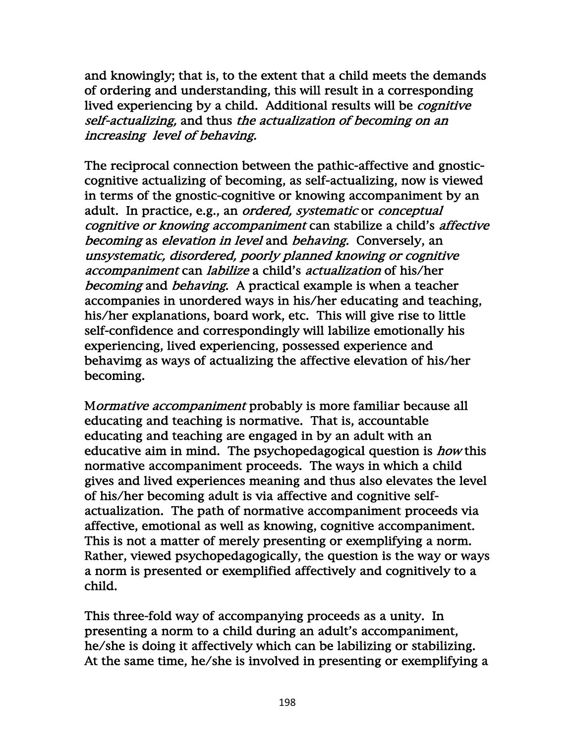and knowingly; that is, to the extent that a child meets the demands of ordering and understanding, this will result in a corresponding lived experiencing by a child. Additional results will be cognitive self-actualizing, and thus the actualization of becoming on an increasing level of behaving.

The reciprocal connection between the pathic-affective and gnosticcognitive actualizing of becoming, as self-actualizing, now is viewed in terms of the gnostic-cognitive or knowing accompaniment by an adult. In practice, e.g., an ordered, systematic or conceptual cognitive or knowing accompaniment can stabilize a child's affective becoming as elevation in level and behaving. Conversely, an unsystematic, disordered, poorly planned knowing or cognitive accompaniment can labilize a child's actualization of his/her becoming and behaving. A practical example is when a teacher accompanies in unordered ways in his/her educating and teaching, his/her explanations, board work, etc. This will give rise to little self-confidence and correspondingly will labilize emotionally his experiencing, lived experiencing, possessed experience and behavimg as ways of actualizing the affective elevation of his/her becoming.

Mormative accompaniment probably is more familiar because all educating and teaching is normative. That is, accountable educating and teaching are engaged in by an adult with an educative aim in mind. The psychopedagogical question is *how* this normative accompaniment proceeds. The ways in which a child gives and lived experiences meaning and thus also elevates the level of his/her becoming adult is via affective and cognitive selfactualization. The path of normative accompaniment proceeds via affective, emotional as well as knowing, cognitive accompaniment. This is not a matter of merely presenting or exemplifying a norm. Rather, viewed psychopedagogically, the question is the way or ways a norm is presented or exemplified affectively and cognitively to a child.

This three-fold way of accompanying proceeds as a unity. In presenting a norm to a child during an adult's accompaniment, he/she is doing it affectively which can be labilizing or stabilizing. At the same time, he/she is involved in presenting or exemplifying a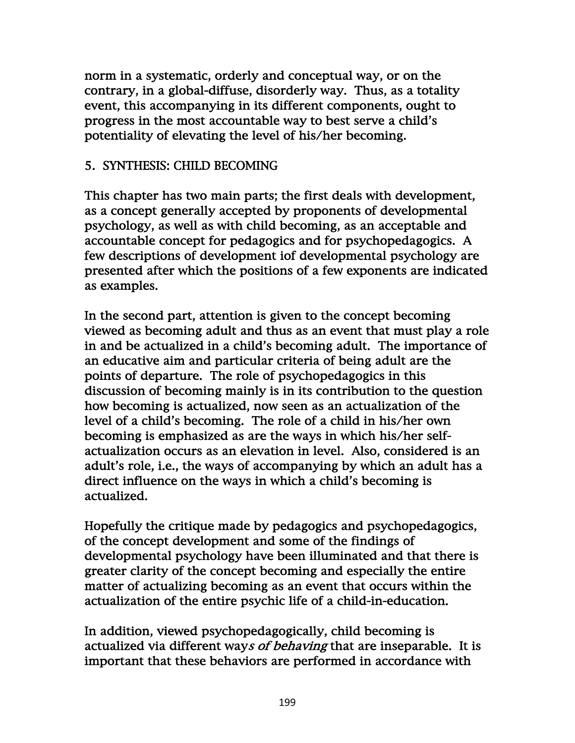norm in a systematic, orderly and conceptual way, or on the contrary, in a global-diffuse, disorderly way. Thus, as a totality event, this accompanying in its different components, ought to progress in the most accountable way to best serve a child's potentiality of elevating the level of his/her becoming.

### 5. SYNTHESIS: CHILD BECOMING

This chapter has two main parts; the first deals with development, as a concept generally accepted by proponents of developmental psychology, as well as with child becoming, as an acceptable and accountable concept for pedagogics and for psychopedagogics. A few descriptions of development iof developmental psychology are presented after which the positions of a few exponents are indicated as examples.

In the second part, attention is given to the concept becoming viewed as becoming adult and thus as an event that must play a role in and be actualized in a child's becoming adult. The importance of an educative aim and particular criteria of being adult are the points of departure. The role of psychopedagogics in this discussion of becoming mainly is in its contribution to the question how becoming is actualized, now seen as an actualization of the level of a child's becoming. The role of a child in his/her own becoming is emphasized as are the ways in which his/her selfactualization occurs as an elevation in level. Also, considered is an adult's role, i.e., the ways of accompanying by which an adult has a direct influence on the ways in which a child's becoming is actualized.

Hopefully the critique made by pedagogics and psychopedagogics, of the concept development and some of the findings of developmental psychology have been illuminated and that there is greater clarity of the concept becoming and especially the entire matter of actualizing becoming as an event that occurs within the actualization of the entire psychic life of a child-in-education.

In addition, viewed psychopedagogically, child becoming is actualized via different ways of behaving that are inseparable. It is important that these behaviors are performed in accordance with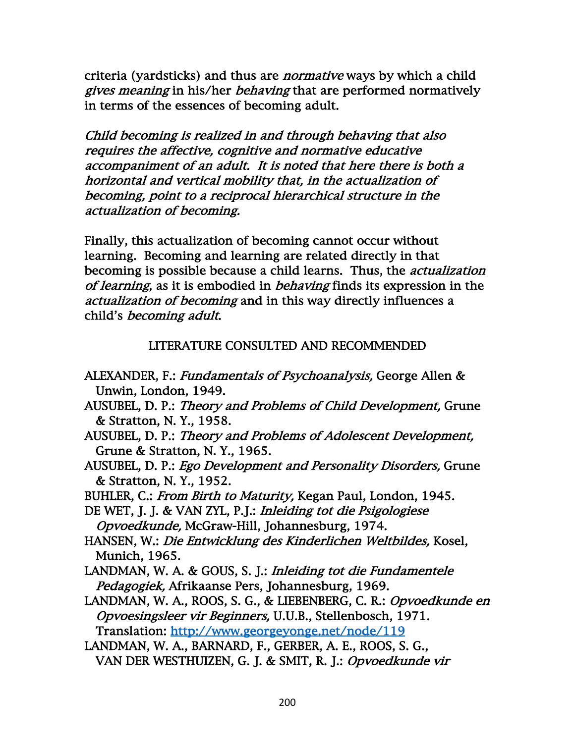criteria (yardsticks) and thus are *normative* ways by which a child gives meaning in his/her behaving that are performed normatively in terms of the essences of becoming adult.

Child becoming is realized in and through behaving that also requires the affective, cognitive and normative educative accompaniment of an adult. It is noted that here there is both a horizontal and vertical mobility that, in the actualization of becoming, point to a reciprocal hierarchical structure in the actualization of becoming.

Finally, this actualization of becoming cannot occur without learning. Becoming and learning are related directly in that becoming is possible because a child learns. Thus, the *actualization* of learning, as it is embodied in behaving finds its expression in the actualization of becoming and in this way directly influences a child's becoming adult.

LITERATURE CONSULTED AND RECOMMENDED

- ALEXANDER, F.: Fundamentals of Psychoanalysis, George Allen & Unwin, London, 1949.
- AUSUBEL, D. P.: Theory and Problems of Child Development, Grune & Stratton, N. Y., 1958.
- AUSUBEL, D. P.: Theory and Problems of Adolescent Development, Grune & Stratton, N. Y., 1965.
- AUSUBEL, D. P.: Ego Development and Personality Disorders, Grune & Stratton, N. Y., 1952.
- BUHLER, C.: From Birth to Maturity, Kegan Paul, London, 1945.
- DE WET, J. J. & VAN ZYL, P.J.: Inleiding tot die Psigologiese Opvoedkunde, McGraw-Hill, Johannesburg, 1974.
- HANSEN, W.: Die Entwicklung des Kinderlichen Weltbildes, Kosel, Munich, 1965.
- LANDMAN, W. A. & GOUS, S. J.: Inleiding tot die Fundamentele Pedagogiek, Afrikaanse Pers, Johannesburg, 1969.
- LANDMAN, W. A., ROOS, S. G., & LIEBENBERG, C. R.: Opvoedkunde en Opvoesingsleer vir Beginners, U.U.B., Stellenbosch, 1971. Translation: http://www.georgeyonge.net/node/119
- LANDMAN, W. A., BARNARD, F., GERBER, A. E., ROOS, S. G., VAN DER WESTHUIZEN, G. J. & SMIT, R. J.: Opvoedkunde vir